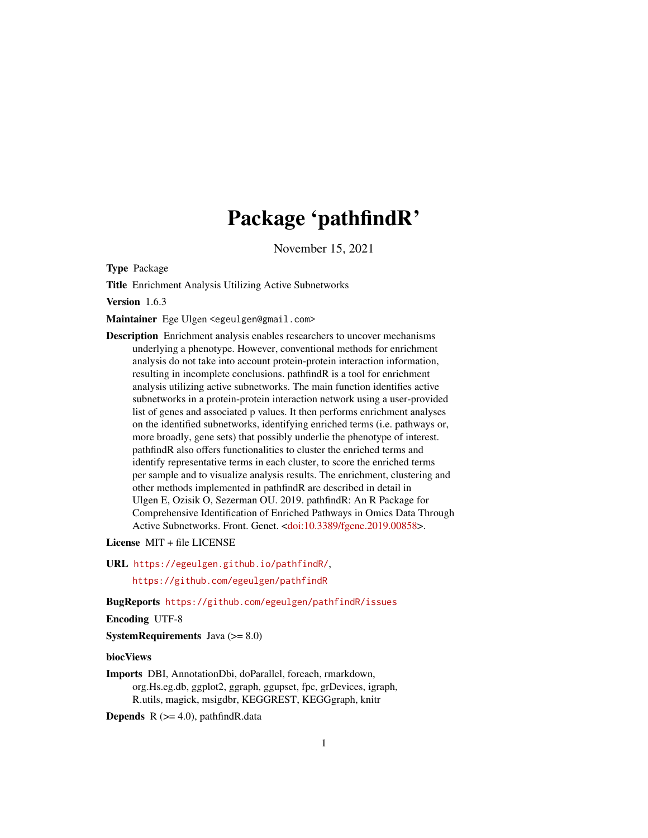# Package 'pathfindR'

November 15, 2021

<span id="page-0-0"></span>Type Package

Title Enrichment Analysis Utilizing Active Subnetworks

Version 1.6.3

Maintainer Ege Ulgen <egeulgen@gmail.com>

Description Enrichment analysis enables researchers to uncover mechanisms underlying a phenotype. However, conventional methods for enrichment analysis do not take into account protein-protein interaction information, resulting in incomplete conclusions. pathfindR is a tool for enrichment analysis utilizing active subnetworks. The main function identifies active subnetworks in a protein-protein interaction network using a user-provided list of genes and associated p values. It then performs enrichment analyses on the identified subnetworks, identifying enriched terms (i.e. pathways or, more broadly, gene sets) that possibly underlie the phenotype of interest. pathfindR also offers functionalities to cluster the enriched terms and identify representative terms in each cluster, to score the enriched terms per sample and to visualize analysis results. The enrichment, clustering and other methods implemented in pathfindR are described in detail in Ulgen E, Ozisik O, Sezerman OU. 2019. pathfindR: An R Package for Comprehensive Identification of Enriched Pathways in Omics Data Through Active Subnetworks. Front. Genet. [<doi:10.3389/fgene.2019.00858>](https://doi.org/10.3389/fgene.2019.00858).

License MIT + file LICENSE

URL <https://egeulgen.github.io/pathfindR/>,

<https://github.com/egeulgen/pathfindR>

BugReports <https://github.com/egeulgen/pathfindR/issues>

Encoding UTF-8

**SystemRequirements** Java  $(>= 8.0)$ 

biocViews

Imports DBI, AnnotationDbi, doParallel, foreach, rmarkdown, org.Hs.eg.db, ggplot2, ggraph, ggupset, fpc, grDevices, igraph, R.utils, magick, msigdbr, KEGGREST, KEGGgraph, knitr

**Depends** R  $(>= 4.0)$ , pathfindR.data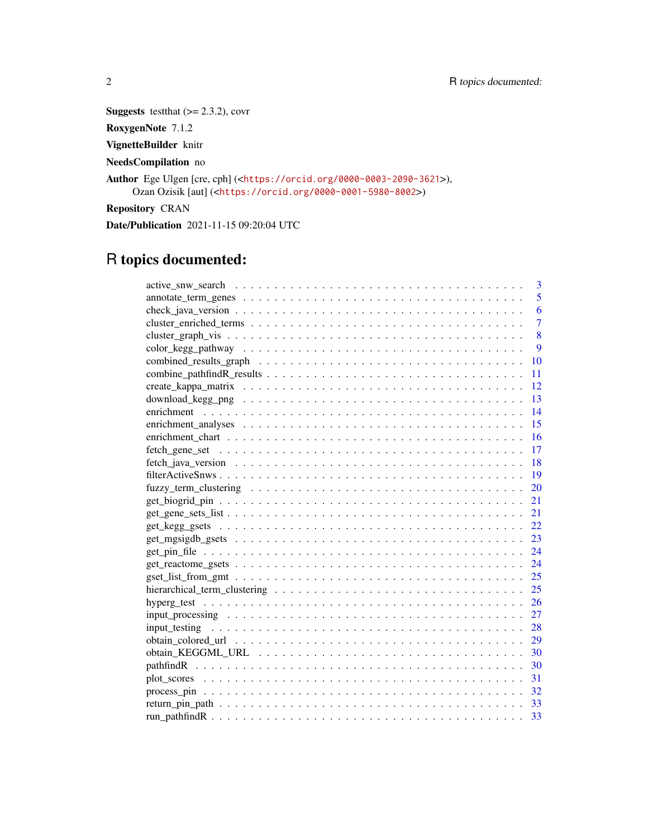**Suggests** testthat  $(>= 2.3.2)$ , covr

RoxygenNote 7.1.2

VignetteBuilder knitr

NeedsCompilation no

Author Ege Ulgen [cre, cph] (<<https://orcid.org/0000-0003-2090-3621>>), Ozan Ozisik [aut] (<<https://orcid.org/0000-0001-5980-8002>>)

Repository CRAN

Date/Publication 2021-11-15 09:20:04 UTC

# R topics documented:

| 3              |  |
|----------------|--|
| 5              |  |
| 6              |  |
| $\overline{7}$ |  |
| 8              |  |
| 9              |  |
| 10             |  |
| 11             |  |
| 12             |  |
| -13            |  |
| 14             |  |
| 15             |  |
| 16             |  |
| 17             |  |
| 18             |  |
| -19            |  |
|                |  |
|                |  |
|                |  |
| 22.            |  |
|                |  |
|                |  |
|                |  |
|                |  |
|                |  |
| 26             |  |
| 27             |  |
| 28             |  |
| - 29           |  |
|                |  |
|                |  |
|                |  |
|                |  |
|                |  |
|                |  |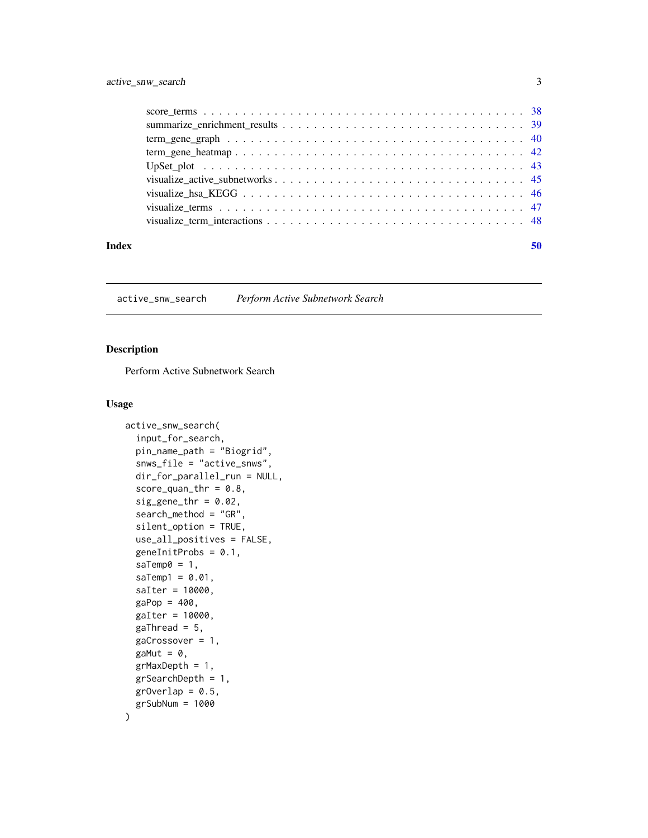<span id="page-2-0"></span>

| Index | 50 |
|-------|----|

<span id="page-2-1"></span>active\_snw\_search *Perform Active Subnetwork Search*

# Description

Perform Active Subnetwork Search

# Usage

```
active_snw_search(
  input_for_search,
 pin_name_path = "Biogrid",
  snws_file = "active_snws",
  dir_for_parallel_run = NULL,
  score\_quant\_thr = 0.8,
  sig\_gene\_thr = 0.02,
  search_method = "GR",
  silent_option = TRUE,
  use_all_positives = FALSE,
  genelnitProbs = 0.1,saTemp0 = 1,
  saTemp1 = 0.01,
  saIter = 10000,
  gap = 400,gaIter = 10000,
  gaThread = 5,
  gaCrossover = 1,
  gaMut = \theta,
  grMaxDepth = 1,
  grSearchDepth = 1,
  grOverlap = 0.5,
  grSubNum = 1000
\mathcal{E}
```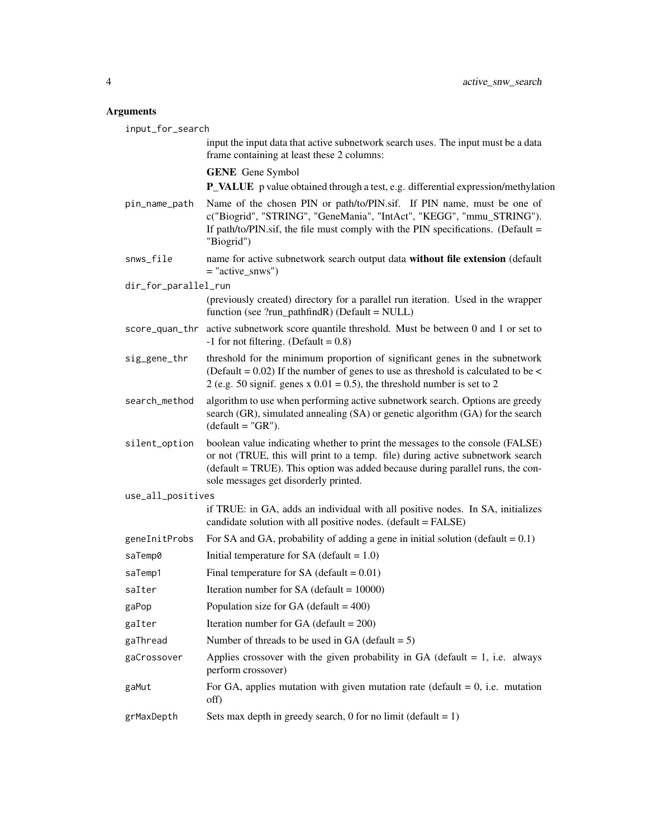| input_for_search     |                                                                                                                                                                                                                                                                                            |  |
|----------------------|--------------------------------------------------------------------------------------------------------------------------------------------------------------------------------------------------------------------------------------------------------------------------------------------|--|
|                      | input the input data that active subnetwork search uses. The input must be a data<br>frame containing at least these 2 columns:                                                                                                                                                            |  |
|                      | <b>GENE</b> Gene Symbol                                                                                                                                                                                                                                                                    |  |
|                      | <b>P_VALUE</b> p value obtained through a test, e.g. differential expression/methylation                                                                                                                                                                                                   |  |
| pin_name_path        | Name of the chosen PIN or path/to/PIN.sif. If PIN name, must be one of<br>c("Biogrid", "STRING", "GeneMania", "IntAct", "KEGG", "mmu_STRING").<br>If path/to/PIN.sif, the file must comply with the PIN specifications. (Default $=$<br>"Biogrid")                                         |  |
| snws_file            | name for active subnetwork search output data without file extension (default<br>$=$ "active_snws")                                                                                                                                                                                        |  |
| dir_for_parallel_run |                                                                                                                                                                                                                                                                                            |  |
|                      | (previously created) directory for a parallel run iteration. Used in the wrapper<br>function (see $?run\_pathfindR)$ (Default = NULL)                                                                                                                                                      |  |
|                      | score_quan_thr active subnetwork score quantile threshold. Must be between 0 and 1 or set to<br>$-1$ for not filtering. (Default = 0.8)                                                                                                                                                    |  |
| sig_gene_thr         | threshold for the minimum proportion of significant genes in the subnetwork<br>(Default = $0.02$ ) If the number of genes to use as threshold is calculated to be <<br>2 (e.g. 50 signif. genes x $0.01 = 0.5$ ), the threshold number is set to 2                                         |  |
| search_method        | algorithm to use when performing active subnetwork search. Options are greedy<br>search (GR), simulated annealing (SA) or genetic algorithm (GA) for the search<br>$(default = "GR").$                                                                                                     |  |
| silent_option        | boolean value indicating whether to print the messages to the console (FALSE)<br>or not (TRUE, this will print to a temp. file) during active subnetwork search<br>(default = TRUE). This option was added because during parallel runs, the con-<br>sole messages get disorderly printed. |  |
| use_all_positives    |                                                                                                                                                                                                                                                                                            |  |
|                      | if TRUE: in GA, adds an individual with all positive nodes. In SA, initializes<br>candidate solution with all positive nodes. (default = FALSE)                                                                                                                                            |  |
| geneInitProbs        | For SA and GA, probability of adding a gene in initial solution (default $= 0.1$ )                                                                                                                                                                                                         |  |
| saTemp0              | Initial temperature for SA (default $= 1.0$ )                                                                                                                                                                                                                                              |  |
| saTemp1              | Final temperature for SA (default = $0.01$ )                                                                                                                                                                                                                                               |  |
| saIter               | Iteration number for SA (default = $10000$ )                                                                                                                                                                                                                                               |  |
| gaPop                | Population size for GA (default = $400$ )                                                                                                                                                                                                                                                  |  |
| gaIter               | Iteration number for GA (default = $200$ )                                                                                                                                                                                                                                                 |  |
| gaThread             | Number of threads to be used in GA (default $= 5$ )                                                                                                                                                                                                                                        |  |
| gaCrossover          | Applies crossover with the given probability in GA (default $= 1$ , i.e. always<br>perform crossover)                                                                                                                                                                                      |  |
| gaMut                | For GA, applies mutation with given mutation rate (default $= 0$ , i.e. mutation<br>off)                                                                                                                                                                                                   |  |
| grMaxDepth           | Sets max depth in greedy search, 0 for no limit (default = $1$ )                                                                                                                                                                                                                           |  |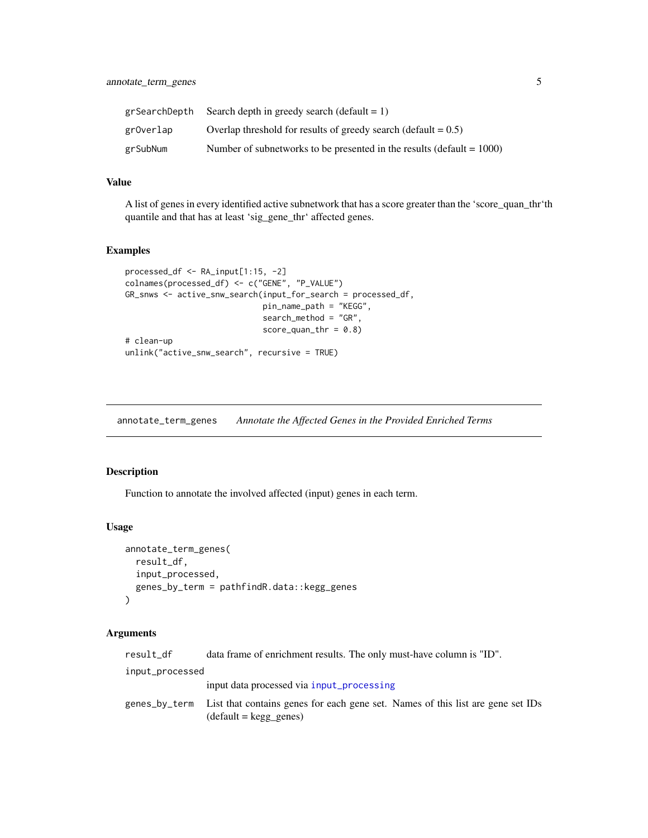<span id="page-4-0"></span>

| grSearchDepth | Search depth in greedy search (default $= 1$ )                           |
|---------------|--------------------------------------------------------------------------|
| grOverlap     | Overlap threshold for results of greedy search (default $= 0.5$ )        |
| grSubNum      | Number of subnetworks to be presented in the results (default $= 1000$ ) |

A list of genes in every identified active subnetwork that has a score greater than the 'score\_quan\_thr'th quantile and that has at least 'sig\_gene\_thr' affected genes.

# Examples

```
processed_df <- RA_input[1:15, -2]
colnames(processed_df) <- c("GENE", "P_VALUE")
GR_snws <- active_snw_search(input_for_search = processed_df,
                             pin_name_path = "KEGG",
                             search_method = "GR",
                             score_quan_thr = 0.8)
# clean-up
unlink("active_snw_search", recursive = TRUE)
```
<span id="page-4-1"></span>annotate\_term\_genes *Annotate the Affected Genes in the Provided Enriched Terms*

# Description

Function to annotate the involved affected (input) genes in each term.

#### Usage

```
annotate_term_genes(
  result_df,
  input_processed,
  genes_by_term = pathfindR.data::kegg_genes
)
```

| result df       | data frame of enrichment results. The only must-have column is "ID".                                                       |
|-----------------|----------------------------------------------------------------------------------------------------------------------------|
| input_processed |                                                                                                                            |
|                 | input data processed via input_processing                                                                                  |
|                 | genes_by_term List that contains genes for each gene set. Names of this list are gene set IDs<br>$(detault = kegg\_genes)$ |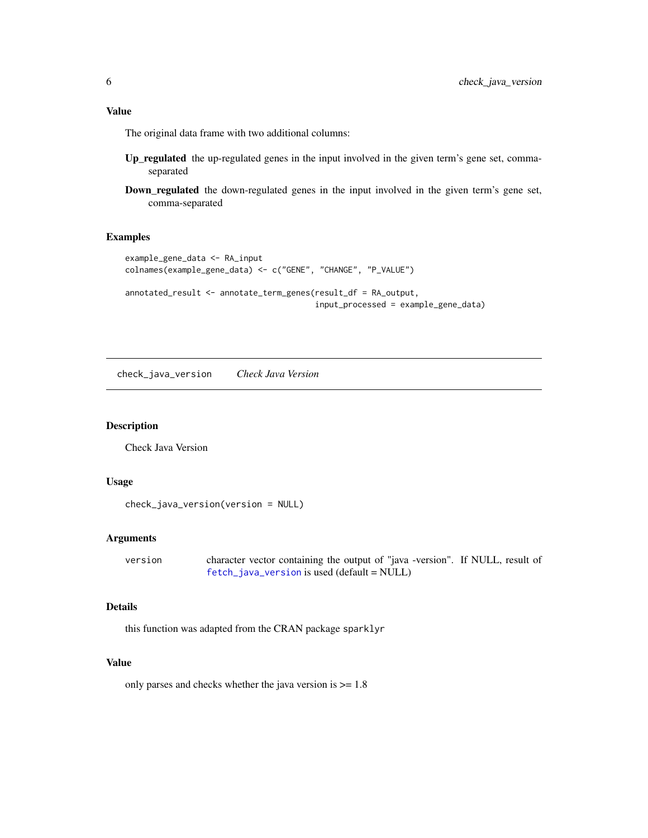<span id="page-5-0"></span>The original data frame with two additional columns:

- Up\_regulated the up-regulated genes in the input involved in the given term's gene set, commaseparated
- Down\_regulated the down-regulated genes in the input involved in the given term's gene set, comma-separated

#### Examples

```
example_gene_data <- RA_input
colnames(example_gene_data) <- c("GENE", "CHANGE", "P_VALUE")
annotated_result <- annotate_term_genes(result_df = RA_output,
                                        input_processed = example_gene_data)
```
check\_java\_version *Check Java Version*

#### Description

Check Java Version

#### Usage

```
check_java_version(version = NULL)
```
#### Arguments

```
version character vector containing the output of "java -version". If NULL, result of
                fetch_java_version is used (default = NULL)
```
# Details

this function was adapted from the CRAN package sparklyr

# Value

only parses and checks whether the java version is  $\geq 1.8$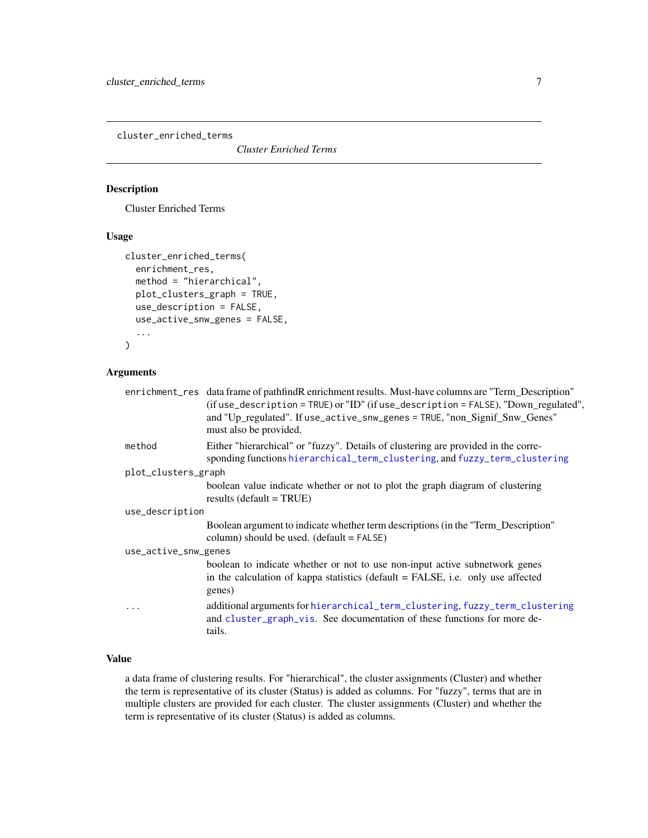<span id="page-6-1"></span><span id="page-6-0"></span>cluster\_enriched\_terms

*Cluster Enriched Terms*

#### Description

Cluster Enriched Terms

# Usage

```
cluster_enriched_terms(
  enrichment_res,
  method = "hierarchical",
 plot_clusters_graph = TRUE,
  use_description = FALSE,
  use_active_snw_genes = FALSE,
  ...
)
```
# Arguments

|                      | enrichment_res data frame of pathfindR enrichment results. Must-have columns are "Term_Description"<br>(if use_description = TRUE) or "ID" (if use_description = FALSE), "Down_regulated",<br>and "Up_regulated". If use_active_snw_genes = TRUE, "non_Signif_Snw_Genes"<br>must also be provided. |  |
|----------------------|----------------------------------------------------------------------------------------------------------------------------------------------------------------------------------------------------------------------------------------------------------------------------------------------------|--|
| method               | Either "hierarchical" or "fuzzy". Details of clustering are provided in the corre-<br>sponding functions hierarchical_term_clustering, and fuzzy_term_clustering                                                                                                                                   |  |
| plot_clusters_graph  |                                                                                                                                                                                                                                                                                                    |  |
|                      | boolean value indicate whether or not to plot the graph diagram of clustering<br>results (default = $TRUE$ )                                                                                                                                                                                       |  |
| use_description      |                                                                                                                                                                                                                                                                                                    |  |
|                      | Boolean argument to indicate whether term descriptions (in the "Term_Description"<br>column) should be used. $(detault = FALSE)$                                                                                                                                                                   |  |
| use_active_snw_genes |                                                                                                                                                                                                                                                                                                    |  |
|                      | boolean to indicate whether or not to use non-input active subnetwork genes<br>in the calculation of kappa statistics (default $=$ FALSE, i.e. only use affected<br>genes)                                                                                                                         |  |
| .                    | additional arguments for hierarchical_term_clustering, fuzzy_term_clustering<br>and cluster_graph_vis. See documentation of these functions for more de-<br>tails.                                                                                                                                 |  |

# Value

a data frame of clustering results. For "hierarchical", the cluster assignments (Cluster) and whether the term is representative of its cluster (Status) is added as columns. For "fuzzy", terms that are in multiple clusters are provided for each cluster. The cluster assignments (Cluster) and whether the term is representative of its cluster (Status) is added as columns.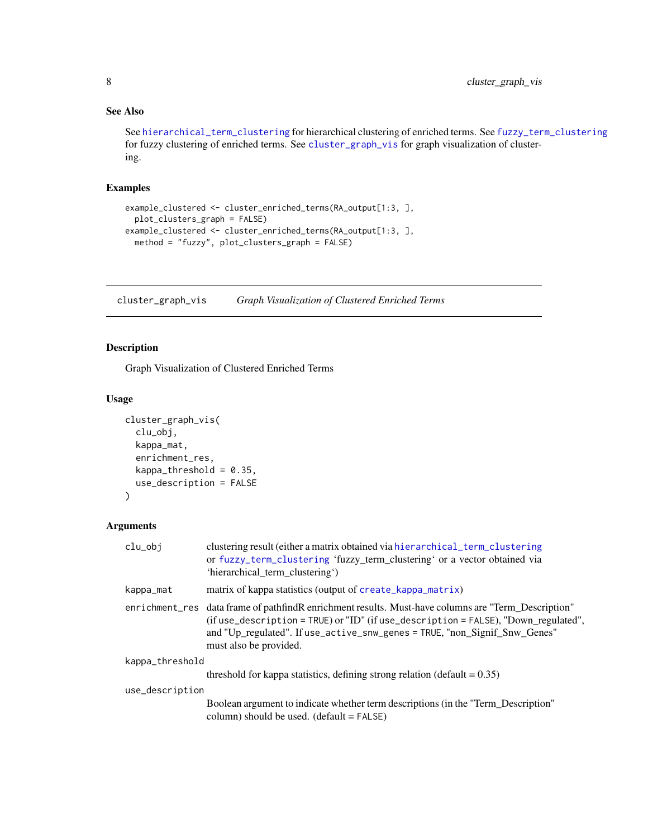# <span id="page-7-0"></span>See Also

See [hierarchical\\_term\\_clustering](#page-24-1) for hierarchical clustering of enriched terms. See [fuzzy\\_term\\_clustering](#page-19-1) for fuzzy clustering of enriched terms. See [cluster\\_graph\\_vis](#page-7-1) for graph visualization of clustering.

# Examples

```
example_clustered <- cluster_enriched_terms(RA_output[1:3, ],
 plot_clusters_graph = FALSE)
example_clustered <- cluster_enriched_terms(RA_output[1:3, ],
 method = "fuzzy", plot_clusters_graph = FALSE)
```
<span id="page-7-1"></span>cluster\_graph\_vis *Graph Visualization of Clustered Enriched Terms*

# Description

Graph Visualization of Clustered Enriched Terms

#### Usage

```
cluster_graph_vis(
  clu_obj,
  kappa_mat,
  enrichment_res,
  kappa_{th}reshold = 0.35,
  use_description = FALSE
)
```

| clu_obj         | clustering result (either a matrix obtained via hierarchical_term_clustering<br>or fuzzy_term_clustering 'fuzzy_term_clustering' or a vector obtained via<br>'hierarchical term clustering')                                                                                                       |  |
|-----------------|----------------------------------------------------------------------------------------------------------------------------------------------------------------------------------------------------------------------------------------------------------------------------------------------------|--|
| kappa_mat       | matrix of kappa statistics (output of create_kappa_matrix)                                                                                                                                                                                                                                         |  |
|                 | enrichment res data frame of pathfindR enrichment results. Must-have columns are "Term Description"<br>(if use_description = TRUE) or "ID" (if use_description = FALSE), "Down_regulated",<br>and "Up_regulated". If use_active_snw_genes = TRUE, "non_Signif_Snw_Genes"<br>must also be provided. |  |
| kappa_threshold |                                                                                                                                                                                                                                                                                                    |  |
|                 | threshold for kappa statistics, defining strong relation (default $= 0.35$ )                                                                                                                                                                                                                       |  |
| use_description |                                                                                                                                                                                                                                                                                                    |  |
|                 | Boolean argument to indicate whether term descriptions (in the "Term_Description"<br>column) should be used. $(detault = FALSE)$                                                                                                                                                                   |  |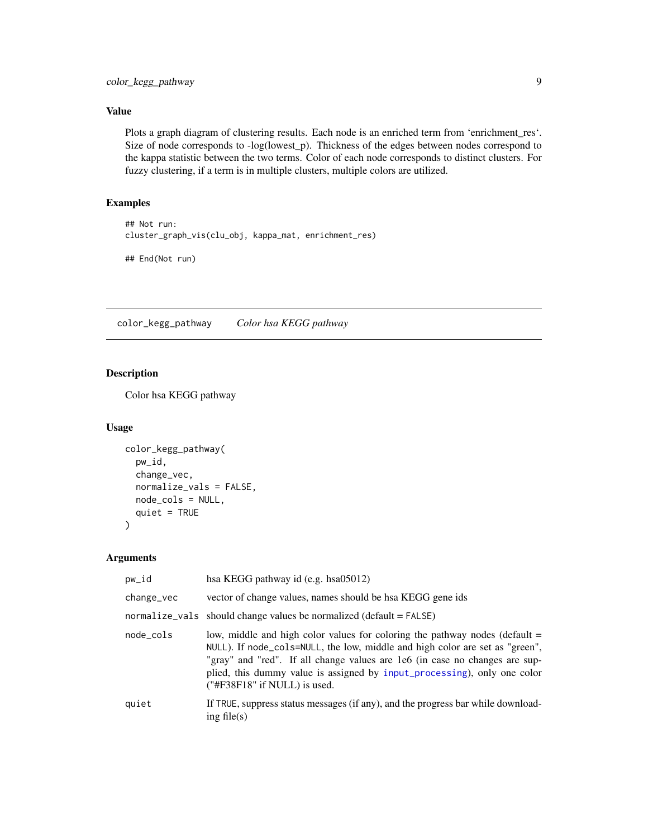<span id="page-8-0"></span>Plots a graph diagram of clustering results. Each node is an enriched term from 'enrichment\_res'. Size of node corresponds to -log(lowest\_p). Thickness of the edges between nodes correspond to the kappa statistic between the two terms. Color of each node corresponds to distinct clusters. For fuzzy clustering, if a term is in multiple clusters, multiple colors are utilized.

# Examples

```
## Not run:
cluster_graph_vis(clu_obj, kappa_mat, enrichment_res)
```

```
## End(Not run)
```
color\_kegg\_pathway *Color hsa KEGG pathway*

# Description

Color hsa KEGG pathway

#### Usage

```
color_kegg_pathway(
 pw_id,
  change_vec,
  normalize_vals = FALSE,
  node_cols = NULL,
  quiet = TRUE\lambda
```

| pw_id      | hsa KEGG pathway id (e.g. hsa05012)                                                                                                                                                                                                                                                                                                                    |
|------------|--------------------------------------------------------------------------------------------------------------------------------------------------------------------------------------------------------------------------------------------------------------------------------------------------------------------------------------------------------|
| change_vec | vector of change values, names should be haa KEGG gene ids                                                                                                                                                                                                                                                                                             |
|            | normalize_vals should change values be normalized (default = FALSE)                                                                                                                                                                                                                                                                                    |
| node_cols  | low, middle and high color values for coloring the pathway nodes (default =<br>NULL). If node_cols=NULL, the low, middle and high color are set as "green",<br>"gray" and "red". If all change values are 1e6 (in case no changes are sup-<br>plied, this dummy value is assigned by input_processing), only one color<br>("#F38F18" if NULL) is used. |
| quiet      | If TRUE, suppress status messages (if any), and the progress bar while download-<br>ing file $(s)$                                                                                                                                                                                                                                                     |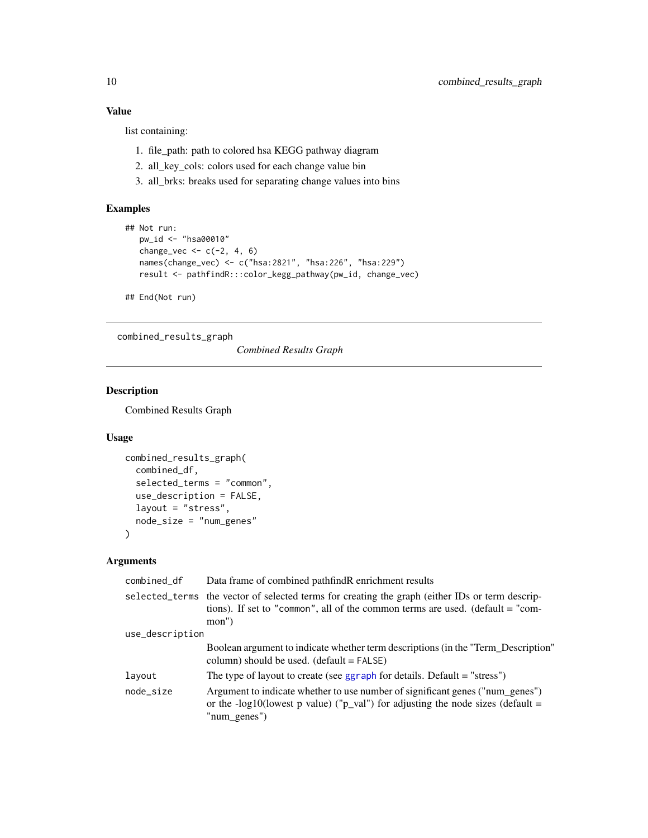list containing:

- 1. file\_path: path to colored hsa KEGG pathway diagram
- 2. all\_key\_cols: colors used for each change value bin
- 3. all\_brks: breaks used for separating change values into bins

# Examples

```
## Not run:
  pw_id <- "hsa00010"
   change_vec \leq \leq \leq (-2, 4, 6)names(change_vec) <- c("hsa:2821", "hsa:226", "hsa:229")
   result <- pathfindR:::color_kegg_pathway(pw_id, change_vec)
## End(Not run)
```
combined\_results\_graph

*Combined Results Graph*

# Description

Combined Results Graph

# Usage

```
combined_results_graph(
  combined_df,
  selected_terms = "common",
  use_description = FALSE,
  layout = "stress",
  node_size = "num_genes"
)
```

| combined_df     | Data frame of combined pathfind R enrichment results                                                                                                                                          |
|-----------------|-----------------------------------------------------------------------------------------------------------------------------------------------------------------------------------------------|
|                 | selected_terms the vector of selected terms for creating the graph (either IDs or term descrip-<br>tions). If set to "common", all of the common terms are used. (default = "com-<br>$mon'$ ) |
| use_description |                                                                                                                                                                                               |
|                 | Boolean argument to indicate whether term descriptions (in the "Term_Description"<br>column) should be used. $(detault = FALSE)$                                                              |
| layout          | The type of layout to create (see ggraph for details. Default $=$ "stress")                                                                                                                   |
| node_size       | Argument to indicate whether to use number of significant genes ("num_genes")<br>or the -log10(lowest p value) ("p_val") for adjusting the node sizes (default =<br>$"num\_genes"$            |

<span id="page-9-0"></span>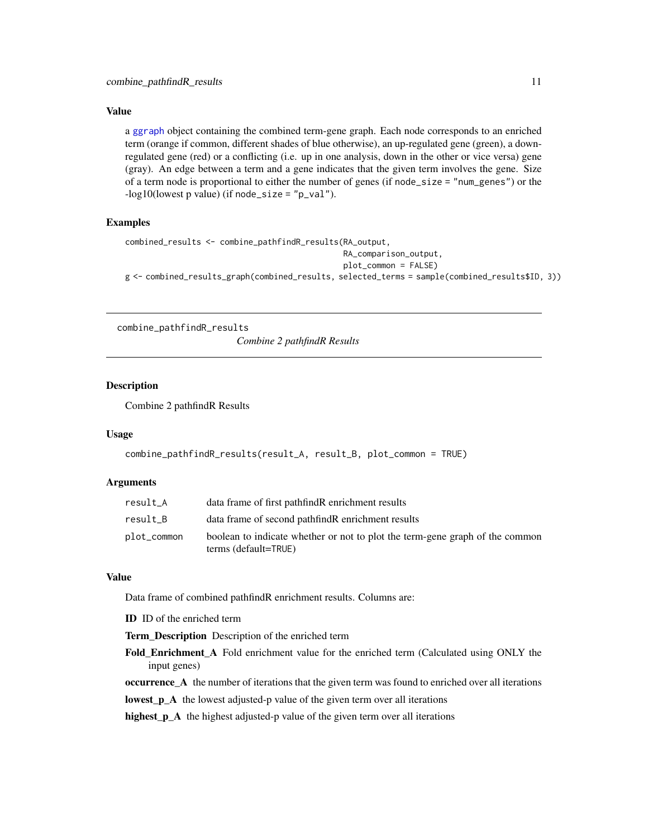<span id="page-10-0"></span>a [ggraph](#page-0-0) object containing the combined term-gene graph. Each node corresponds to an enriched term (orange if common, different shades of blue otherwise), an up-regulated gene (green), a downregulated gene (red) or a conflicting (i.e. up in one analysis, down in the other or vice versa) gene (gray). An edge between a term and a gene indicates that the given term involves the gene. Size of a term node is proportional to either the number of genes (if node\_size = "num\_genes") or the  $-log10(lowest p value)$  (if node\_size = "p\_val").

#### Examples

```
combined_results <- combine_pathfindR_results(RA_output,
                                              RA_comparison_output,
                                              plot_common = FALSE)
g <- combined_results_graph(combined_results, selected_terms = sample(combined_results$ID, 3))
```
combine\_pathfindR\_results

*Combine 2 pathfindR Results*

#### Description

Combine 2 pathfindR Results

# Usage

```
combine_pathfindR_results(result_A, result_B, plot_common = TRUE)
```
#### Arguments

| result_A    | data frame of first pathfind R enrichment results                                                    |
|-------------|------------------------------------------------------------------------------------------------------|
| result B    | data frame of second pathfind R enrichment results                                                   |
| plot_common | boolean to indicate whether or not to plot the term-gene graph of the common<br>terms (default=TRUE) |

#### Value

Data frame of combined pathfindR enrichment results. Columns are:

ID ID of the enriched term

Term Description Description of the enriched term

Fold Enrichment A Fold enrichment value for the enriched term (Calculated using ONLY the input genes)

occurrence\_A the number of iterations that the given term was found to enriched over all iterations

lowest\_p\_A the lowest adjusted-p value of the given term over all iterations

highest\_p\_A the highest adjusted-p value of the given term over all iterations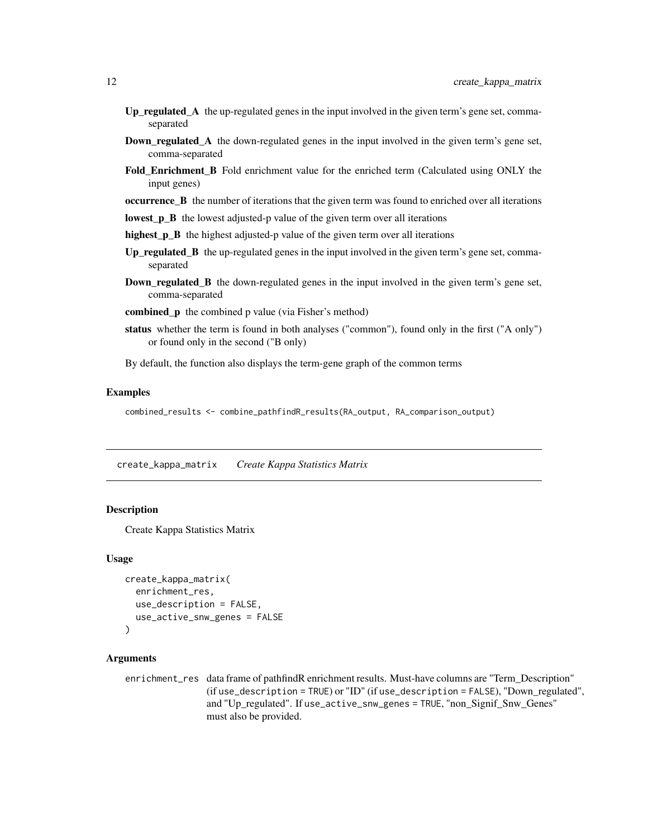- <span id="page-11-0"></span>Up\_regulated $\Delta$  the up-regulated genes in the input involved in the given term's gene set, commaseparated
- Down\_regulated\_A the down-regulated genes in the input involved in the given term's gene set, comma-separated
- Fold\_Enrichment\_B Fold enrichment value for the enriched term (Calculated using ONLY the input genes)

occurrence\_B the number of iterations that the given term was found to enriched over all iterations

- lowest\_p\_B the lowest adjusted-p value of the given term over all iterations
- highest\_p\_B the highest adjusted-p value of the given term over all iterations
- $Up\_regulated\_B$  the up-regulated genes in the input involved in the given term's gene set, commaseparated
- **Down\_regulated\_B** the down-regulated genes in the input involved in the given term's gene set, comma-separated
- combined p the combined p value (via Fisher's method)
- status whether the term is found in both analyses ("common"), found only in the first ("A only") or found only in the second ("B only)

By default, the function also displays the term-gene graph of the common terms

#### Examples

combined\_results <- combine\_pathfindR\_results(RA\_output, RA\_comparison\_output)

<span id="page-11-1"></span>create\_kappa\_matrix *Create Kappa Statistics Matrix*

#### Description

Create Kappa Statistics Matrix

#### Usage

```
create_kappa_matrix(
  enrichment_res,
  use_description = FALSE,
  use_active_snw_genes = FALSE
\lambda
```

```
enrichment_res data frame of pathfindR enrichment results. Must-have columns are "Term_Description"
                 (if use_description = TRUE) or "ID" (if use_description = FALSE), "Down_regulated",
                 and "Up_regulated". If use_active_snw_genes = TRUE, "non_Signif_Snw_Genes"
                 must also be provided.
```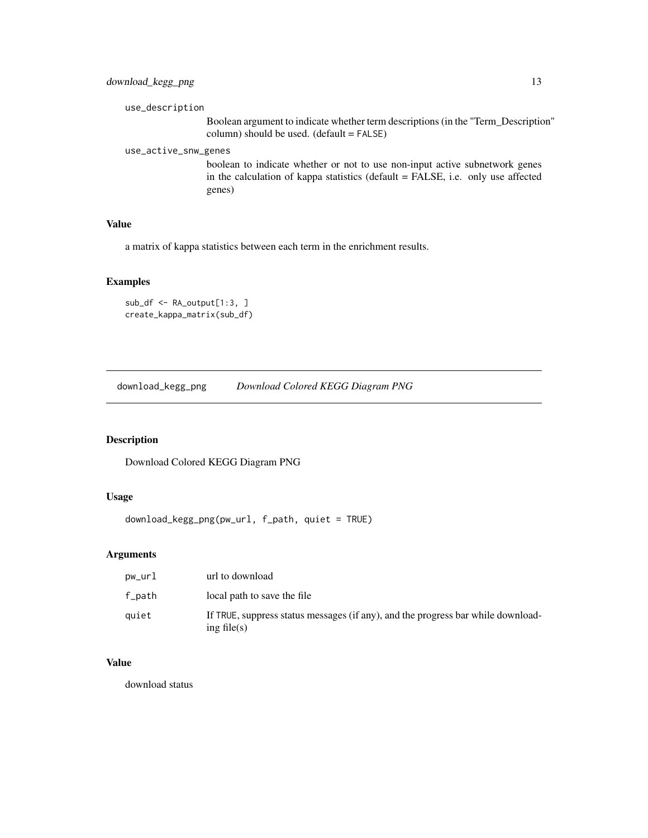# <span id="page-12-0"></span>download\_kegg\_png 13

```
use_description
```
Boolean argument to indicate whether term descriptions (in the "Term\_Description" column) should be used. (default = FALSE)

use\_active\_snw\_genes

boolean to indicate whether or not to use non-input active subnetwork genes in the calculation of kappa statistics (default = FALSE, i.e. only use affected genes)

# Value

a matrix of kappa statistics between each term in the enrichment results.

#### Examples

```
sub_df <- RA_output[1:3, ]
create_kappa_matrix(sub_df)
```
download\_kegg\_png *Download Colored KEGG Diagram PNG*

# Description

Download Colored KEGG Diagram PNG

#### Usage

```
download_kegg_png(pw_url, f_path, quiet = TRUE)
```
# Arguments

| pw_url | url to download                                                                                    |
|--------|----------------------------------------------------------------------------------------------------|
| f_path | local path to save the file                                                                        |
| auiet  | If TRUE, suppress status messages (if any), and the progress bar while download-<br>ing file $(s)$ |

# Value

download status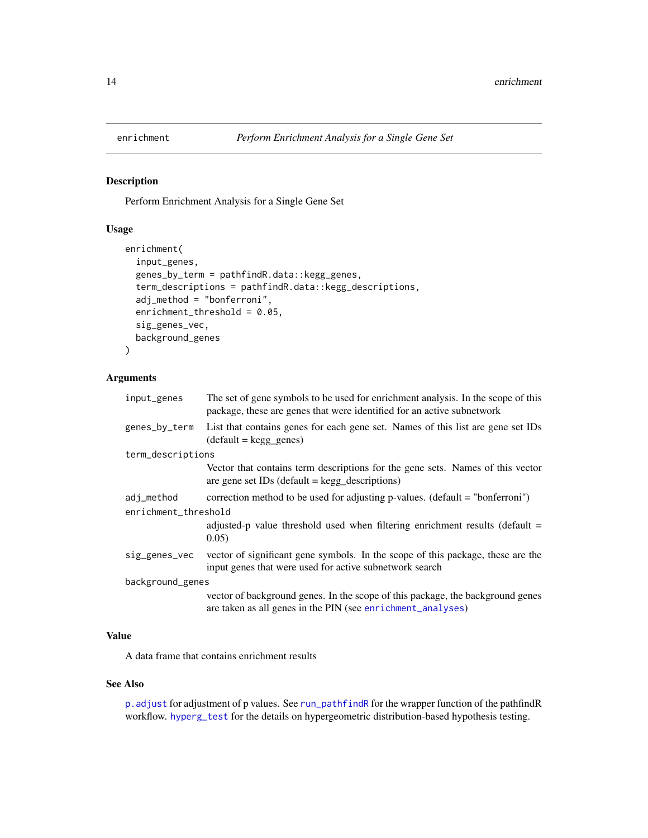<span id="page-13-1"></span><span id="page-13-0"></span>

# Description

Perform Enrichment Analysis for a Single Gene Set

#### Usage

```
enrichment(
  input_genes,
  genes_by_term = pathfindR.data::kegg_genes,
  term_descriptions = pathfindR.data::kegg_descriptions,
  adj_method = "bonferroni",
  enrichment_threshold = 0.05,
  sig_genes_vec,
 background_genes
)
```
# Arguments

| input_genes          | The set of gene symbols to be used for enrichment analysis. In the scope of this<br>package, these are genes that were identified for an active subnetwork |  |
|----------------------|------------------------------------------------------------------------------------------------------------------------------------------------------------|--|
| genes_by_term        | List that contains genes for each gene set. Names of this list are gene set IDs<br>$(detault = kegg\_genes)$                                               |  |
| term_descriptions    |                                                                                                                                                            |  |
|                      | Vector that contains term descriptions for the gene sets. Names of this vector<br>are gene set IDs (default $=$ kegg_descriptions)                         |  |
| adj_method           | correction method to be used for adjusting p-values. (default = "bonferroni")                                                                              |  |
| enrichment_threshold |                                                                                                                                                            |  |
|                      | adjusted-p value threshold used when filtering enrichment results (default $=$<br>0.05)                                                                    |  |
| sig_genes_vec        | vector of significant gene symbols. In the scope of this package, these are the<br>input genes that were used for active subnetwork search                 |  |
| background_genes     |                                                                                                                                                            |  |
|                      | vector of background genes. In the scope of this package, the background genes<br>are taken as all genes in the PIN (see enrichment_analyses)              |  |

# Value

A data frame that contains enrichment results

#### See Also

[p.adjust](#page-0-0) for adjustment of p values. See [run\\_pathfindR](#page-32-1) for the wrapper function of the pathfindR workflow. [hyperg\\_test](#page-25-1) for the details on hypergeometric distribution-based hypothesis testing.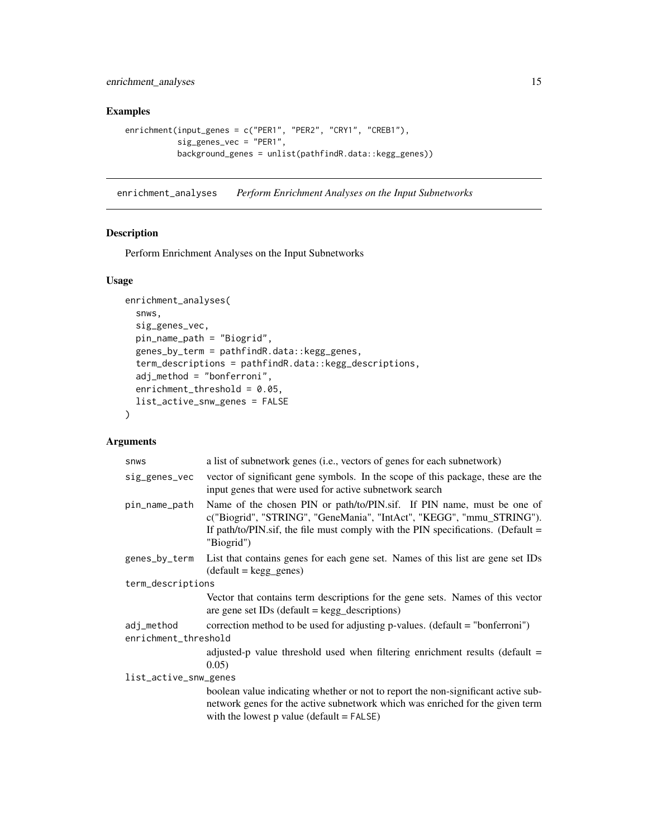<span id="page-14-0"></span>enrichment\_analyses 15

# Examples

```
enrichment(input_genes = c("PER1", "PER2", "CRY1", "CREB1"),
          sig_genes_vec = "PER1",
          background_genes = unlist(pathfindR.data::kegg_genes))
```
<span id="page-14-1"></span>enrichment\_analyses *Perform Enrichment Analyses on the Input Subnetworks*

# Description

Perform Enrichment Analyses on the Input Subnetworks

# Usage

```
enrichment_analyses(
  snws,
  sig_genes_vec,
 pin_name_path = "Biogrid",
  genes_by_term = pathfindR.data::kegg_genes,
  term_descriptions = pathfindR.data::kegg_descriptions,
  adj\_method = "bonferroni",enrichment_threshold = 0.05,
  list_active_snw_genes = FALSE
)
```

| <b>SNWS</b>                        | a list of subnetwork genes (i.e., vectors of genes for each subnetwork)                                                                                                                                                                            |  |
|------------------------------------|----------------------------------------------------------------------------------------------------------------------------------------------------------------------------------------------------------------------------------------------------|--|
| sig_genes_vec                      | vector of significant gene symbols. In the scope of this package, these are the<br>input genes that were used for active subnetwork search                                                                                                         |  |
| pin_name_path                      | Name of the chosen PIN or path/to/PIN.sif. If PIN name, must be one of<br>c("Biogrid", "STRING", "GeneMania", "IntAct", "KEGG", "mmu_STRING").<br>If path/to/PIN.sif, the file must comply with the PIN specifications. (Default $=$<br>"Biogrid") |  |
| genes_by_term                      | List that contains genes for each gene set. Names of this list are gene set IDs<br>$(detault = kegg\_genes)$                                                                                                                                       |  |
| term_descriptions                  |                                                                                                                                                                                                                                                    |  |
|                                    | Vector that contains term descriptions for the gene sets. Names of this vector<br>are gene set $IDs$ (default = $kegg$ descriptions)                                                                                                               |  |
| adj_method<br>enrichment_threshold | correction method to be used for adjusting p-values. (default = "bonferroni")                                                                                                                                                                      |  |
|                                    | adjusted-p value threshold used when filtering enrichment results (default $=$<br>0.05)                                                                                                                                                            |  |
| list_active_snw_genes              |                                                                                                                                                                                                                                                    |  |
|                                    | boolean value indicating whether or not to report the non-significant active sub-<br>network genes for the active subnetwork which was enriched for the given term<br>with the lowest $p$ value (default = $FALSE$ )                               |  |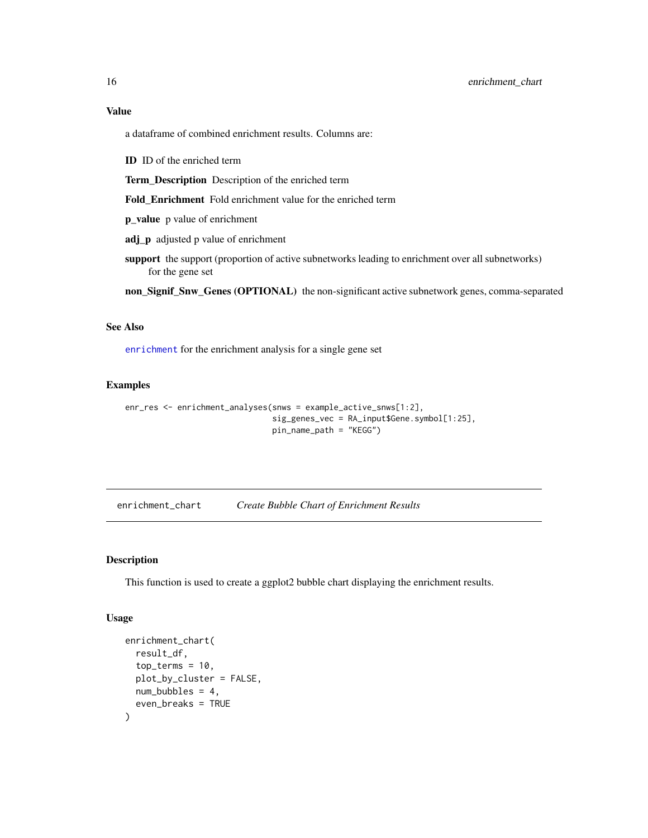<span id="page-15-0"></span>a dataframe of combined enrichment results. Columns are:

ID ID of the enriched term

Term\_Description Description of the enriched term

Fold\_Enrichment Fold enrichment value for the enriched term

p\_value p value of enrichment

adj\_p adjusted p value of enrichment

support the support (proportion of active subnetworks leading to enrichment over all subnetworks) for the gene set

non\_Signif\_Snw\_Genes (OPTIONAL) the non-significant active subnetwork genes, comma-separated

#### See Also

[enrichment](#page-13-1) for the enrichment analysis for a single gene set

# Examples

```
enr_res <- enrichment_analyses(snws = example_active_snws[1:2],
                               sig_genes_vec = RA_input$Gene.symbol[1:25],
                               pin_name_path = "KEGG")
```
<span id="page-15-1"></span>enrichment\_chart *Create Bubble Chart of Enrichment Results*

#### Description

This function is used to create a ggplot2 bubble chart displaying the enrichment results.

# Usage

```
enrichment_chart(
  result_df,
  top_terms = 10,
  plot_by_cluster = FALSE,
 num_bubbles = 4,
  even_breaks = TRUE
)
```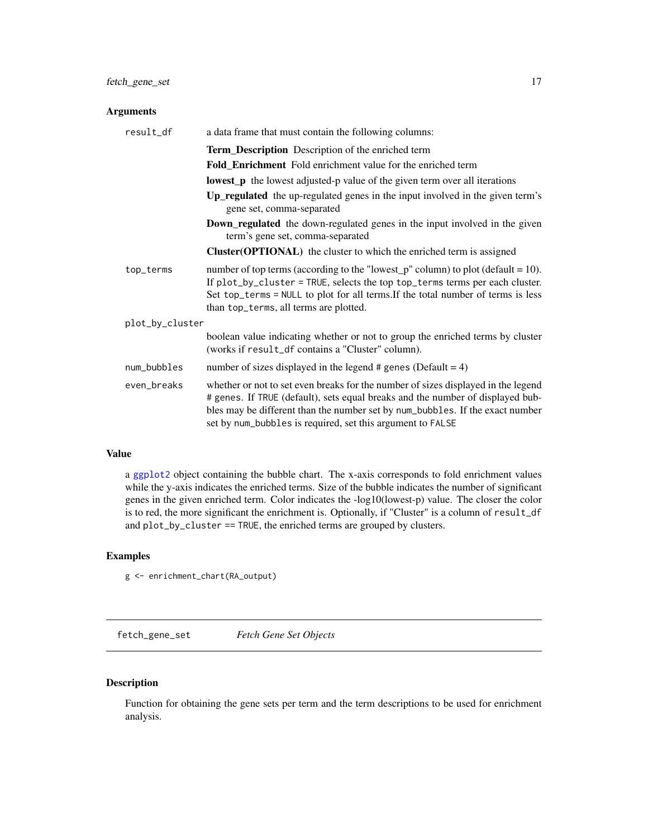# <span id="page-16-0"></span>Arguments

| result_df       | a data frame that must contain the following columns:                                                                                                                                                                                                                                                              |  |  |  |  |  |
|-----------------|--------------------------------------------------------------------------------------------------------------------------------------------------------------------------------------------------------------------------------------------------------------------------------------------------------------------|--|--|--|--|--|
|                 | Term_Description Description of the enriched term                                                                                                                                                                                                                                                                  |  |  |  |  |  |
|                 | <b>Fold_Enrichment</b> Fold enrichment value for the enriched term                                                                                                                                                                                                                                                 |  |  |  |  |  |
|                 | <b>lowest_p</b> the lowest adjusted-p value of the given term over all iterations                                                                                                                                                                                                                                  |  |  |  |  |  |
|                 | <b>Up_regulated</b> the up-regulated genes in the input involved in the given term's<br>gene set, comma-separated                                                                                                                                                                                                  |  |  |  |  |  |
|                 | <b>Down_regulated</b> the down-regulated genes in the input involved in the given<br>term's gene set, comma-separated                                                                                                                                                                                              |  |  |  |  |  |
|                 | Cluster(OPTIONAL) the cluster to which the enriched term is assigned                                                                                                                                                                                                                                               |  |  |  |  |  |
| top_terms       | number of top terms (according to the "lowest_p" column) to plot (default = 10).<br>If plot_by_cluster = TRUE, selects the top top_terms terms per each cluster.<br>Set top_terms = NULL to plot for all terms. If the total number of terms is less<br>than top_terms, all terms are plotted.                     |  |  |  |  |  |
| plot_by_cluster |                                                                                                                                                                                                                                                                                                                    |  |  |  |  |  |
|                 | boolean value indicating whether or not to group the enriched terms by cluster<br>(works if result_df contains a "Cluster" column).                                                                                                                                                                                |  |  |  |  |  |
| num_bubbles     | number of sizes displayed in the legend $#$ genes (Default = 4)                                                                                                                                                                                                                                                    |  |  |  |  |  |
| even_breaks     | whether or not to set even breaks for the number of sizes displayed in the legend<br># genes. If TRUE (default), sets equal breaks and the number of displayed bub-<br>bles may be different than the number set by num_bubbles. If the exact number<br>set by num_bubbles is required, set this argument to FALSE |  |  |  |  |  |

# Value

a [ggplot2](#page-0-0) object containing the bubble chart. The x-axis corresponds to fold enrichment values while the y-axis indicates the enriched terms. Size of the bubble indicates the number of significant genes in the given enriched term. Color indicates the -log10(lowest-p) value. The closer the color is to red, the more significant the enrichment is. Optionally, if "Cluster" is a column of result\_df and plot\_by\_cluster == TRUE, the enriched terms are grouped by clusters.

#### Examples

g <- enrichment\_chart(RA\_output)

fetch\_gene\_set *Fetch Gene Set Objects*

# Description

Function for obtaining the gene sets per term and the term descriptions to be used for enrichment analysis.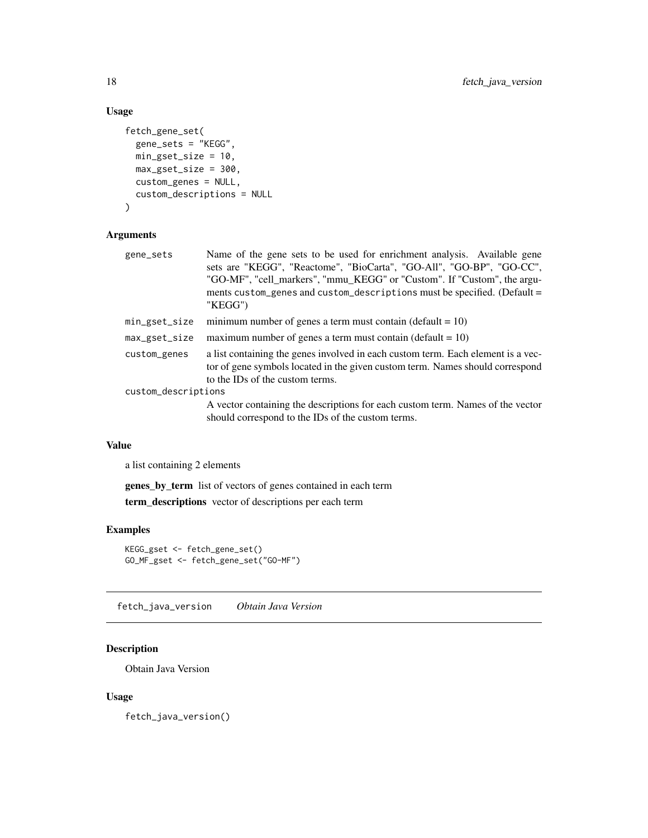# Usage

```
fetch_gene_set(
  gene_sets = "KEGG",
 min_gset_size = 10,
 max_gset_size = 300,
 custom_genes = NULL,
  custom_descriptions = NULL
)
```
# Arguments

| gene_sets           | Name of the gene sets to be used for enrichment analysis. Available gene<br>sets are "KEGG", "Reactome", "BioCarta", "GO-All", "GO-BP", "GO-CC",<br>"GO-MF", "cell_markers", "mmu_KEGG" or "Custom". If "Custom", the argu-<br>ments custom_genes and custom_descriptions must be specified. (Default =<br>"KEGG") |
|---------------------|--------------------------------------------------------------------------------------------------------------------------------------------------------------------------------------------------------------------------------------------------------------------------------------------------------------------|
| min_gset_size       | minimum number of genes a term must contain (default = $10$ )                                                                                                                                                                                                                                                      |
| max_gset_size       | maximum number of genes a term must contain (default $= 10$ )                                                                                                                                                                                                                                                      |
| custom_genes        | a list containing the genes involved in each custom term. Each element is a vec-<br>tor of gene symbols located in the given custom term. Names should correspond<br>to the IDs of the custom terms.                                                                                                               |
| custom_descriptions |                                                                                                                                                                                                                                                                                                                    |
|                     | A vector containing the descriptions for each custom term. Names of the vector                                                                                                                                                                                                                                     |

A vector containing the descriptions for each custom term. Names of the vector should correspond to the IDs of the custom terms.

# Value

a list containing 2 elements

genes\_by\_term list of vectors of genes contained in each term term\_descriptions vector of descriptions per each term

#### Examples

```
KEGG_gset <- fetch_gene_set()
GO_MF_gset <- fetch_gene_set("GO-MF")
```
<span id="page-17-1"></span>fetch\_java\_version *Obtain Java Version*

# Description

Obtain Java Version

# Usage

fetch\_java\_version()

<span id="page-17-0"></span>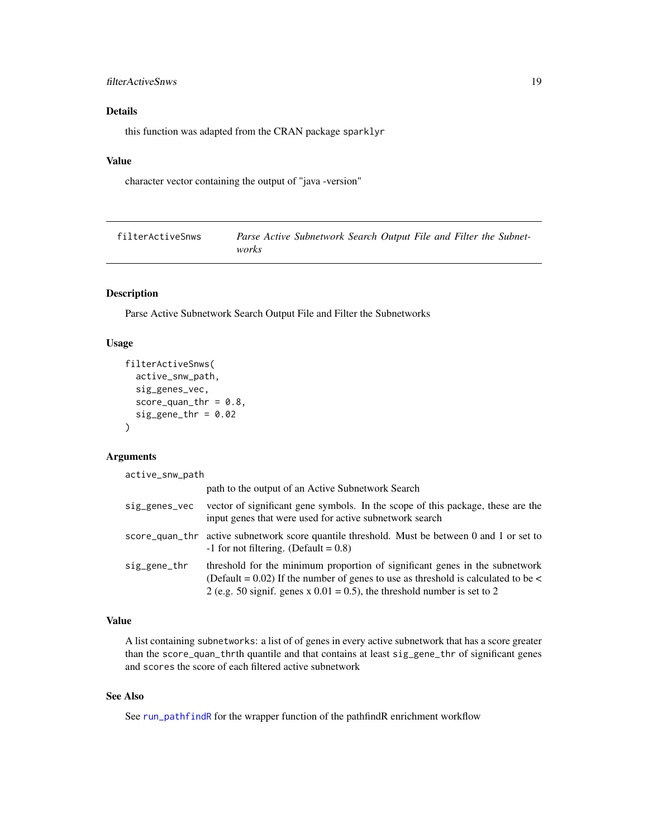# <span id="page-18-0"></span>filterActiveSnws 19

# Details

this function was adapted from the CRAN package sparklyr

# Value

character vector containing the output of "java -version"

| filterActiveSnws |       | Parse Active Subnetwork Search Output File and Filter the Subnet- |  |  |  |
|------------------|-------|-------------------------------------------------------------------|--|--|--|
|                  | works |                                                                   |  |  |  |

#### Description

Parse Active Subnetwork Search Output File and Filter the Subnetworks

# Usage

```
filterActiveSnws(
  active_snw_path,
  sig_genes_vec,
  score_quant_r = 0.8,
  sig\_gene\_thr = 0.02\lambda
```
#### Arguments

active\_snw\_path

|               | path to the output of an Active Subnetwork Search                                                                                                                                                                                                  |
|---------------|----------------------------------------------------------------------------------------------------------------------------------------------------------------------------------------------------------------------------------------------------|
| sig_genes_vec | vector of significant gene symbols. In the scope of this package, these are the<br>input genes that were used for active subnetwork search                                                                                                         |
|               | score_quan_thr active subnetwork score quantile threshold. Must be between 0 and 1 or set to<br>$-1$ for not filtering. (Default = 0.8)                                                                                                            |
| sig_gene_thr  | threshold for the minimum proportion of significant genes in the subnetwork<br>(Default = $0.02$ ) If the number of genes to use as threshold is calculated to be <<br>2 (e.g. 50 signif. genes x $0.01 = 0.5$ ), the threshold number is set to 2 |

# Value

A list containing subnetworks: a list of of genes in every active subnetwork that has a score greater than the score\_quan\_thrth quantile and that contains at least sig\_gene\_thr of significant genes and scores the score of each filtered active subnetwork

# See Also

See [run\\_pathfindR](#page-32-1) for the wrapper function of the pathfindR enrichment workflow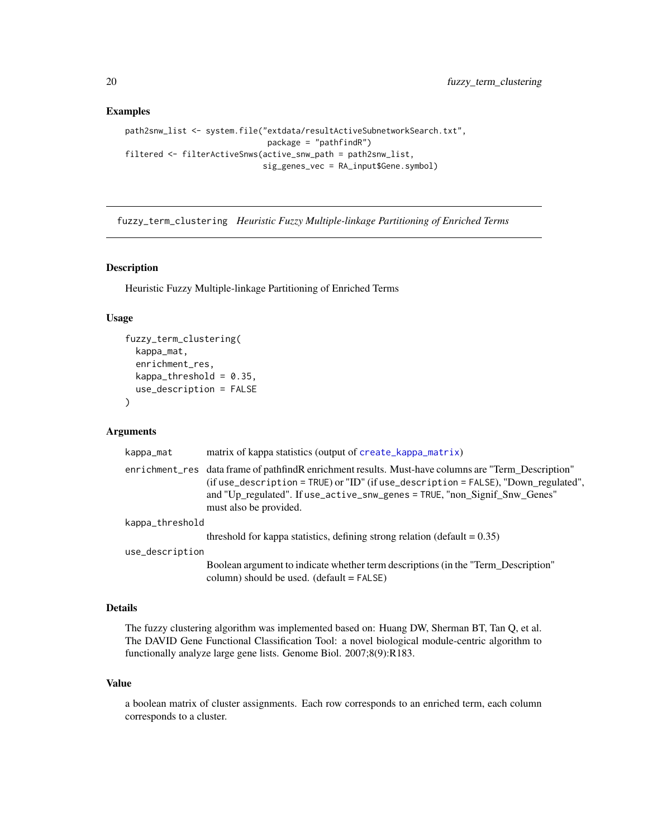#### Examples

```
path2snw_list <- system.file("extdata/resultActiveSubnetworkSearch.txt",
                              package = "pathfindR")
filtered <- filterActiveSnws(active_snw_path = path2snw_list,
                             sig_genes_vec = RA_input$Gene.symbol)
```
<span id="page-19-1"></span>fuzzy\_term\_clustering *Heuristic Fuzzy Multiple-linkage Partitioning of Enriched Terms*

# Description

Heuristic Fuzzy Multiple-linkage Partitioning of Enriched Terms

# Usage

```
fuzzy_term_clustering(
  kappa_mat,
 enrichment_res,
 kappa_{th}reshold = 0.35,
 use_description = FALSE
)
```
#### Arguments

| kappa_mat       | matrix of kappa statistics (output of create_kappa_matrix)                                                                                                                                                                                                                                         |  |
|-----------------|----------------------------------------------------------------------------------------------------------------------------------------------------------------------------------------------------------------------------------------------------------------------------------------------------|--|
|                 | enrichment res data frame of pathfind Renrichment results. Must-have columns are "Term Description"<br>(if use_description = TRUE) or "ID" (if use_description = FALSE), "Down_regulated",<br>and "Up_regulated". If use_active_snw_genes = TRUE, "non_Signif_Snw_Genes"<br>must also be provided. |  |
| kappa_threshold |                                                                                                                                                                                                                                                                                                    |  |
|                 | threshold for kappa statistics, defining strong relation (default $= 0.35$ )                                                                                                                                                                                                                       |  |
| use_description |                                                                                                                                                                                                                                                                                                    |  |
|                 | Boolean argument to indicate whether term descriptions (in the "Term Description"<br>column) should be used. $(detault = FALSE)$                                                                                                                                                                   |  |

#### Details

The fuzzy clustering algorithm was implemented based on: Huang DW, Sherman BT, Tan Q, et al. The DAVID Gene Functional Classification Tool: a novel biological module-centric algorithm to functionally analyze large gene lists. Genome Biol. 2007;8(9):R183.

## Value

a boolean matrix of cluster assignments. Each row corresponds to an enriched term, each column corresponds to a cluster.

<span id="page-19-0"></span>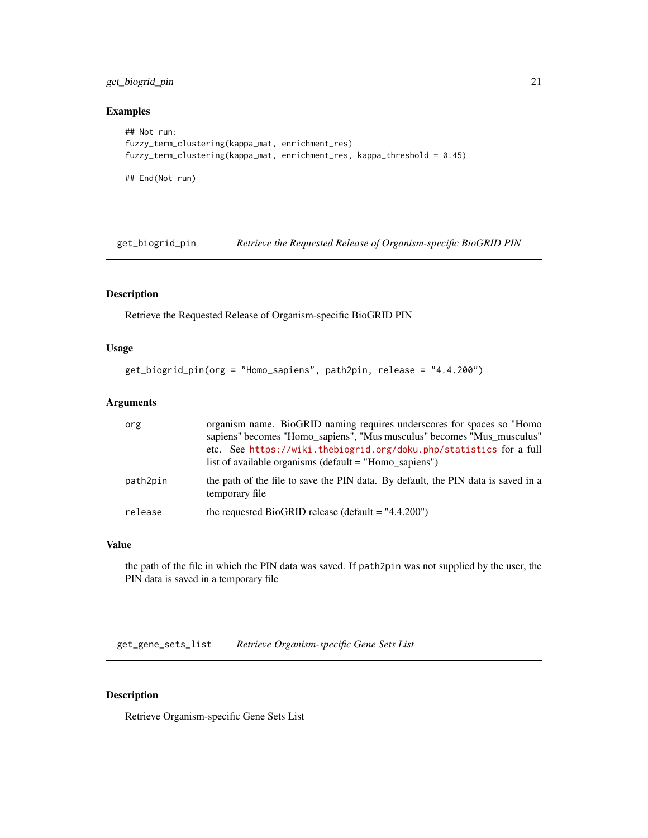# <span id="page-20-0"></span>get\_biogrid\_pin 21

# Examples

```
## Not run:
fuzzy_term_clustering(kappa_mat, enrichment_res)
fuzzy_term_clustering(kappa_mat, enrichment_res, kappa_threshold = 0.45)
## End(Not run)
```
<span id="page-20-1"></span>get\_biogrid\_pin *Retrieve the Requested Release of Organism-specific BioGRID PIN*

# Description

Retrieve the Requested Release of Organism-specific BioGRID PIN

#### Usage

```
get_biogrid_pin(org = "Homo_sapiens", path2pin, release = "4.4.200")
```
# Arguments

| org      | organism name. BioGRID naming requires underscores for spaces so "Homo<br>sapiens" becomes "Homo sapiens", "Mus musculus" becomes "Mus musculus"<br>etc. See https://wiki.thebiogrid.org/doku.php/statistics for a full<br>list of available organisms (default $=$ "Homo sapiens") |
|----------|-------------------------------------------------------------------------------------------------------------------------------------------------------------------------------------------------------------------------------------------------------------------------------------|
| path2pin | the path of the file to save the PIN data. By default, the PIN data is saved in a<br>temporary file                                                                                                                                                                                 |
| release  | the requested BioGRID release (default = $"4.4.200"$ )                                                                                                                                                                                                                              |

#### Value

the path of the file in which the PIN data was saved. If path2pin was not supplied by the user, the PIN data is saved in a temporary file

<span id="page-20-2"></span>get\_gene\_sets\_list *Retrieve Organism-specific Gene Sets List*

# Description

Retrieve Organism-specific Gene Sets List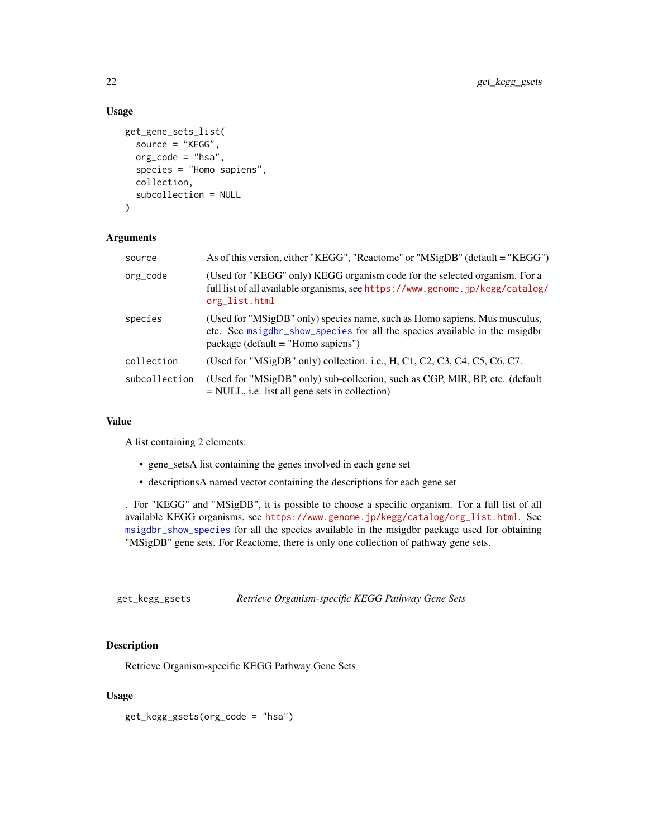# Usage

```
get_gene_sets_list(
  source = "KEGG",
  org_code = "hsa",
  species = "Homo sapiens",
  collection,
  subcollection = NULL
)
```
# Arguments

| source        | As of this version, either "KEGG", "Reactome" or "MSigDB" (default = "KEGG")                                                                                                                     |
|---------------|--------------------------------------------------------------------------------------------------------------------------------------------------------------------------------------------------|
| org_code      | (Used for "KEGG" only) KEGG organism code for the selected organism. For a<br>full list of all available organisms, see https://www.genome.jp/kegg/catalog/<br>org_list.html                     |
| species       | (Used for "MSigDB" only) species name, such as Homo sapiens, Mus musculus,<br>etc. See msigdbr_show_species for all the species available in the msigdbr<br>$package (default = "Homo sapiens")$ |
| collection    | (Used for "MSigDB" only) collection. i.e., H, C1, C2, C3, C4, C5, C6, C7.                                                                                                                        |
| subcollection | (Used for "MSigDB" only) sub-collection, such as CGP, MIR, BP, etc. (default<br>$=$ NULL, i.e. list all gene sets in collection)                                                                 |

#### Value

A list containing 2 elements:

- gene\_setsA list containing the genes involved in each gene set
- descriptionsA named vector containing the descriptions for each gene set

. For "KEGG" and "MSigDB", it is possible to choose a specific organism. For a full list of all available KEGG organisms, see [https://www.genome.jp/kegg/catalog/org\\_list.html](https://www.genome.jp/kegg/catalog/org_list.html). See [msigdbr\\_show\\_species](#page-0-0) for all the species available in the msigdbr package used for obtaining "MSigDB" gene sets. For Reactome, there is only one collection of pathway gene sets.

get\_kegg\_gsets *Retrieve Organism-specific KEGG Pathway Gene Sets*

# Description

Retrieve Organism-specific KEGG Pathway Gene Sets

# Usage

get\_kegg\_gsets(org\_code = "hsa")

<span id="page-21-0"></span>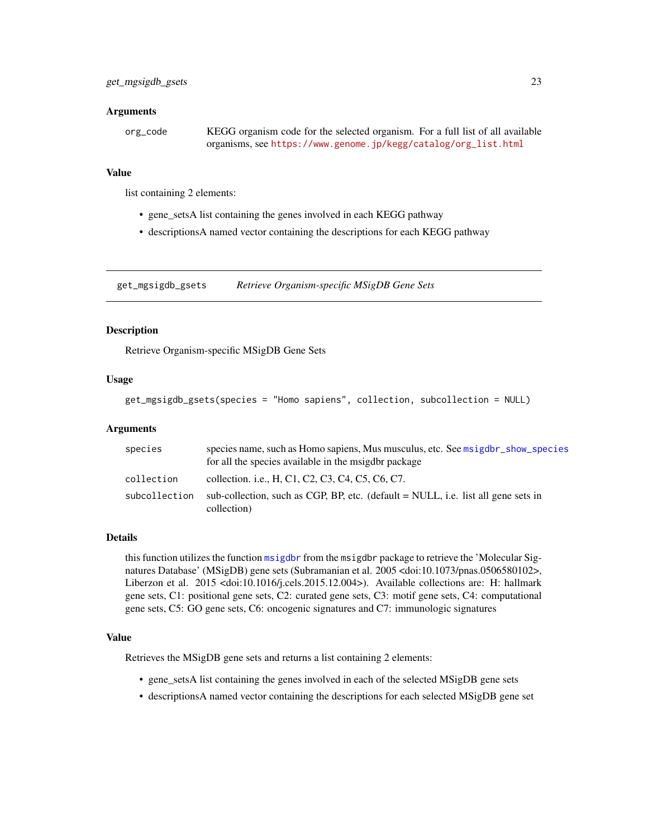#### <span id="page-22-0"></span>Arguments

| org_code | KEGG organism code for the selected organism. For a full list of all available |
|----------|--------------------------------------------------------------------------------|
|          | organisms, see https://www.genome.jp/kegg/catalog/org_list.html                |

#### Value

list containing 2 elements:

- gene\_setsA list containing the genes involved in each KEGG pathway
- descriptionsA named vector containing the descriptions for each KEGG pathway

get\_mgsigdb\_gsets *Retrieve Organism-specific MSigDB Gene Sets*

# **Description**

Retrieve Organism-specific MSigDB Gene Sets

#### Usage

```
get_mgsigdb_gsets(species = "Homo sapiens", collection, subcollection = NULL)
```
#### Arguments

| species       | species name, such as Homo sapiens, Mus musculus, etc. See msigdbr_show_species<br>for all the species available in the msigdbr package |
|---------------|-----------------------------------------------------------------------------------------------------------------------------------------|
| collection    | collection. i.e., H, C1, C2, C3, C4, C5, C6, C7.                                                                                        |
| subcollection | sub-collection, such as CGP, BP, etc. (default $=$ NULL, i.e. list all gene sets in<br>collection)                                      |

#### Details

this function utilizes the function [msigdbr](#page-0-0) from the msigdbr package to retrieve the 'Molecular Signatures Database' (MSigDB) gene sets (Subramanian et al. 2005 <doi:10.1073/pnas.0506580102>, Liberzon et al. 2015 <doi:10.1016/j.cels.2015.12.004>). Available collections are: H: hallmark gene sets, C1: positional gene sets, C2: curated gene sets, C3: motif gene sets, C4: computational gene sets, C5: GO gene sets, C6: oncogenic signatures and C7: immunologic signatures

# Value

Retrieves the MSigDB gene sets and returns a list containing 2 elements:

- gene\_setsA list containing the genes involved in each of the selected MSigDB gene sets
- descriptionsA named vector containing the descriptions for each selected MSigDB gene set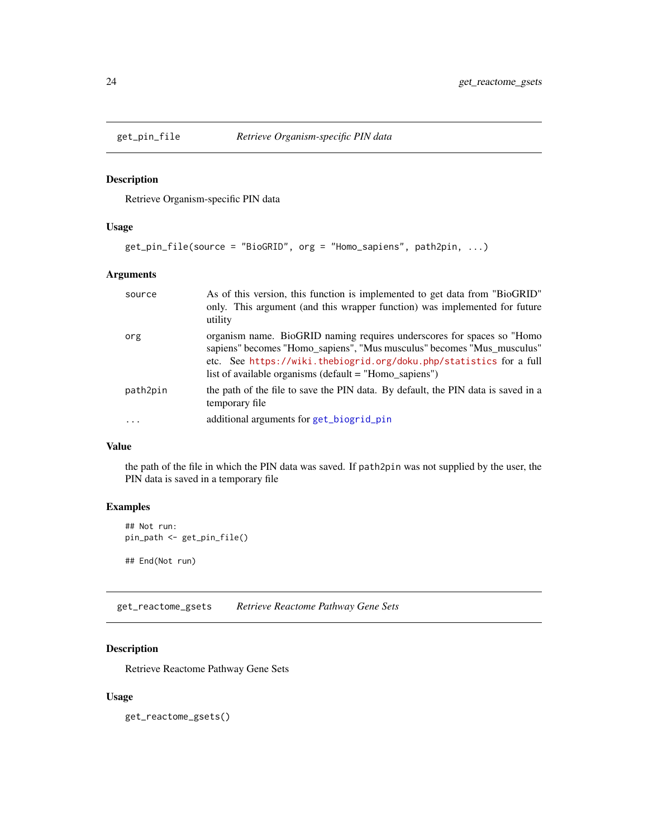<span id="page-23-1"></span><span id="page-23-0"></span>

#### Description

Retrieve Organism-specific PIN data

# Usage

```
get_pin_file(source = "BioGRID", org = "Homo_sapiens", path2pin, ...)
```
#### Arguments

| source   | As of this version, this function is implemented to get data from "BioGRID"<br>only. This argument (and this wrapper function) was implemented for future<br>utility                                                                                                                 |
|----------|--------------------------------------------------------------------------------------------------------------------------------------------------------------------------------------------------------------------------------------------------------------------------------------|
| org      | organism name. BioGRID naming requires underscores for spaces so "Homo"<br>sapiens" becomes "Homo_sapiens", "Mus musculus" becomes "Mus_musculus"<br>etc. See https://wiki.thebiogrid.org/doku.php/statistics for a full<br>list of available organisms (default $=$ "Homo sapiens") |
| path2pin | the path of the file to save the PIN data. By default, the PIN data is saved in a<br>temporary file                                                                                                                                                                                  |
| $\cdots$ | additional arguments for get_biogrid_pin                                                                                                                                                                                                                                             |

#### Value

the path of the file in which the PIN data was saved. If path2pin was not supplied by the user, the PIN data is saved in a temporary file

# Examples

```
## Not run:
pin_path <- get_pin_file()
## End(Not run)
```
get\_reactome\_gsets *Retrieve Reactome Pathway Gene Sets*

# Description

Retrieve Reactome Pathway Gene Sets

# Usage

get\_reactome\_gsets()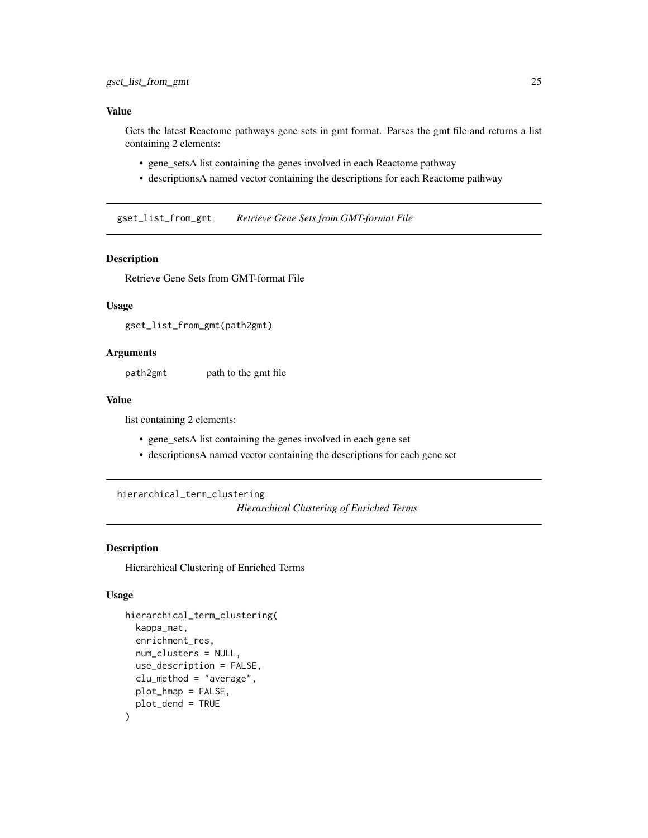<span id="page-24-0"></span>Gets the latest Reactome pathways gene sets in gmt format. Parses the gmt file and returns a list containing 2 elements:

- gene\_setsA list containing the genes involved in each Reactome pathway
- descriptionsA named vector containing the descriptions for each Reactome pathway

gset\_list\_from\_gmt *Retrieve Gene Sets from GMT-format File*

# Description

Retrieve Gene Sets from GMT-format File

# Usage

gset\_list\_from\_gmt(path2gmt)

#### Arguments

path2gmt path to the gmt file

#### Value

list containing 2 elements:

- gene\_setsA list containing the genes involved in each gene set
- descriptionsA named vector containing the descriptions for each gene set

<span id="page-24-1"></span>hierarchical\_term\_clustering

*Hierarchical Clustering of Enriched Terms*

# Description

Hierarchical Clustering of Enriched Terms

#### Usage

```
hierarchical_term_clustering(
  kappa_mat,
  enrichment_res,
  num_clusters = NULL,
  use_description = FALSE,
  clu_method = "average",
  plot_hmap = FALSE,
  plot_dend = TRUE
)
```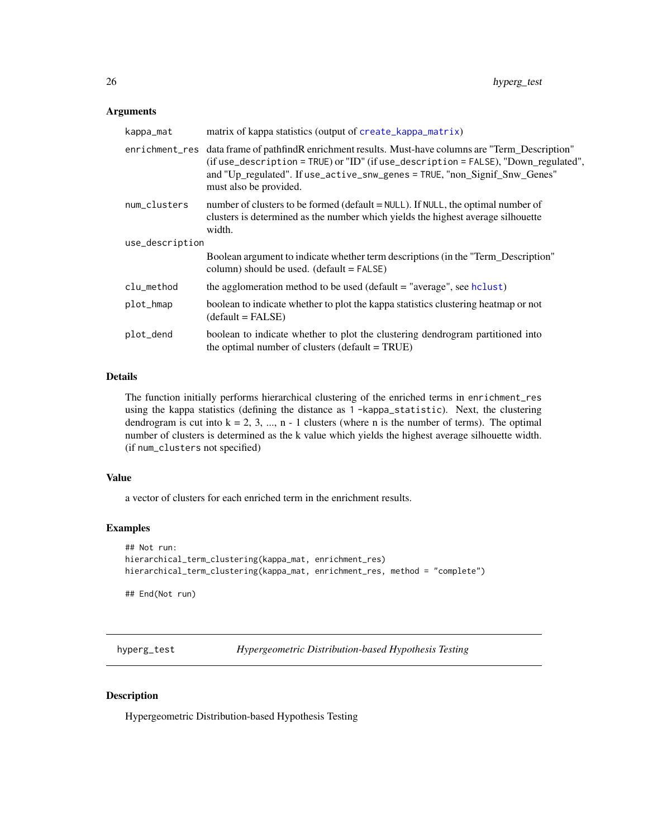#### <span id="page-25-0"></span>Arguments

| kappa_mat       | matrix of kappa statistics (output of create_kappa_matrix)                                                                                                                                                                                                                                         |  |  |
|-----------------|----------------------------------------------------------------------------------------------------------------------------------------------------------------------------------------------------------------------------------------------------------------------------------------------------|--|--|
|                 | enrichment_res data frame of pathfindR enrichment results. Must-have columns are "Term_Description"<br>(if use_description = TRUE) or "ID" (if use_description = FALSE), "Down_regulated",<br>and "Up_regulated". If use_active_snw_genes = TRUE, "non_Signif_Snw_Genes"<br>must also be provided. |  |  |
| num_clusters    | number of clusters to be formed ( $default = NULL$ ). If NULL, the optimal number of<br>clusters is determined as the number which yields the highest average silhouette<br>width.                                                                                                                 |  |  |
| use_description |                                                                                                                                                                                                                                                                                                    |  |  |
|                 | Boolean argument to indicate whether term descriptions (in the "Term_Description"<br>column) should be used. $(detault = FALSE)$                                                                                                                                                                   |  |  |
| clu_method      | the agglomeration method to be used (default = "average", see hclust)                                                                                                                                                                                                                              |  |  |
| plot_hmap       | boolean to indicate whether to plot the kappa statistics clustering heatmap or not<br>$(detault = FALSE)$                                                                                                                                                                                          |  |  |
| plot_dend       | boolean to indicate whether to plot the clustering dendrogram partitioned into<br>the optimal number of clusters (default $= TRUE$ )                                                                                                                                                               |  |  |

#### Details

The function initially performs hierarchical clustering of the enriched terms in enrichment\_res using the kappa statistics (defining the distance as 1 -kappa\_statistic). Next, the clustering dendrogram is cut into  $k = 2, 3, ..., n - 1$  clusters (where n is the number of terms). The optimal number of clusters is determined as the k value which yields the highest average silhouette width. (if num\_clusters not specified)

# Value

a vector of clusters for each enriched term in the enrichment results.

#### Examples

```
## Not run:
hierarchical_term_clustering(kappa_mat, enrichment_res)
hierarchical_term_clustering(kappa_mat, enrichment_res, method = "complete")
```
## End(Not run)

<span id="page-25-1"></span>hyperg\_test *Hypergeometric Distribution-based Hypothesis Testing*

# Description

Hypergeometric Distribution-based Hypothesis Testing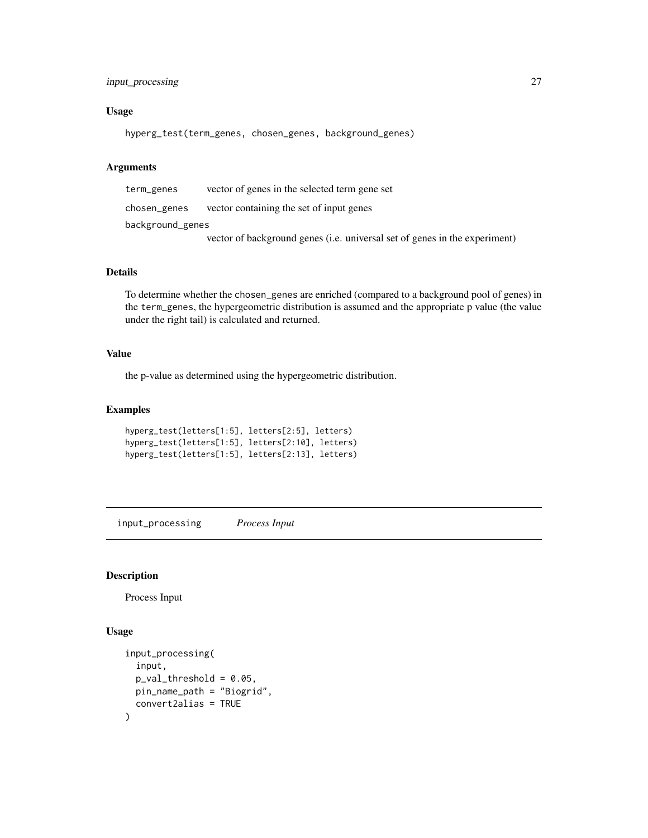# <span id="page-26-0"></span>input\_processing 27

#### Usage

hyperg\_test(term\_genes, chosen\_genes, background\_genes)

#### Arguments

term\_genes vector of genes in the selected term gene set chosen\_genes vector containing the set of input genes background\_genes vector of background genes (i.e. universal set of genes in the experiment)

# Details

To determine whether the chosen\_genes are enriched (compared to a background pool of genes) in the term\_genes, the hypergeometric distribution is assumed and the appropriate p value (the value under the right tail) is calculated and returned.

# Value

the p-value as determined using the hypergeometric distribution.

#### Examples

```
hyperg_test(letters[1:5], letters[2:5], letters)
hyperg_test(letters[1:5], letters[2:10], letters)
hyperg_test(letters[1:5], letters[2:13], letters)
```
<span id="page-26-1"></span>input\_processing *Process Input*

#### Description

Process Input

#### Usage

```
input_processing(
  input,
 p_val_threshold = 0.05,
 pin_name_path = "Biogrid",
  convert2alias = TRUE
)
```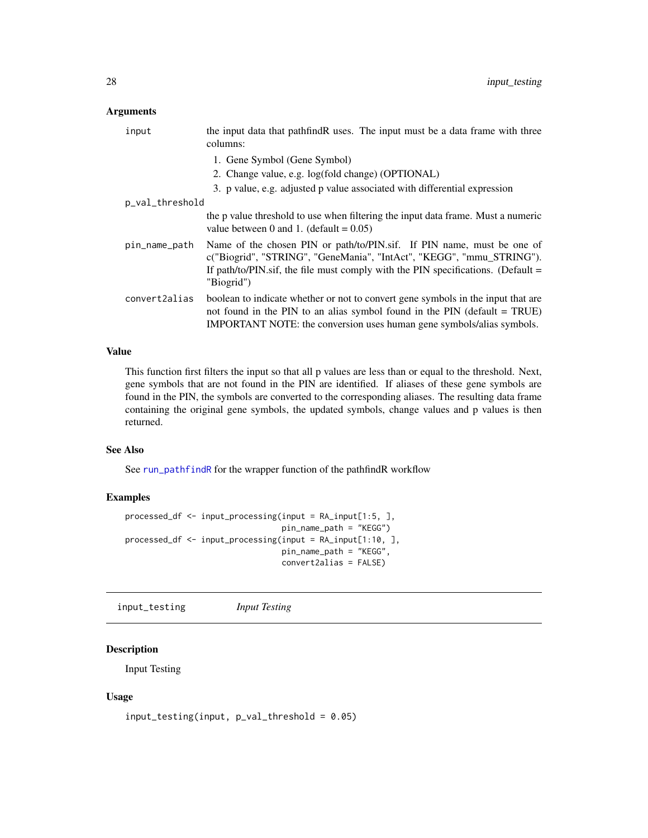# <span id="page-27-0"></span>Arguments

| input           | the input data that pathfindR uses. The input must be a data frame with three<br>columns:                                                                                                                                                          |
|-----------------|----------------------------------------------------------------------------------------------------------------------------------------------------------------------------------------------------------------------------------------------------|
|                 | 1. Gene Symbol (Gene Symbol)                                                                                                                                                                                                                       |
|                 | 2. Change value, e.g. log(fold change) (OPTIONAL)                                                                                                                                                                                                  |
|                 | 3. p value, e.g. adjusted p value associated with differential expression                                                                                                                                                                          |
| p_val_threshold |                                                                                                                                                                                                                                                    |
|                 | the p value threshold to use when filtering the input data frame. Must a numeric<br>value between 0 and 1. (default = $0.05$ )                                                                                                                     |
| pin_name_path   | Name of the chosen PIN or path/to/PIN.sif. If PIN name, must be one of<br>c("Biogrid", "STRING", "GeneMania", "IntAct", "KEGG", "mmu_STRING").<br>If path/to/PIN.sif, the file must comply with the PIN specifications. (Default $=$<br>"Biogrid") |
| convert2alias   | boolean to indicate whether or not to convert gene symbols in the input that are<br>not found in the PIN to an alias symbol found in the PIN (default $= TRUE$ )<br>IMPORTANT NOTE: the conversion uses human gene symbols/alias symbols.          |

#### Value

This function first filters the input so that all p values are less than or equal to the threshold. Next, gene symbols that are not found in the PIN are identified. If aliases of these gene symbols are found in the PIN, the symbols are converted to the corresponding aliases. The resulting data frame containing the original gene symbols, the updated symbols, change values and p values is then returned.

# See Also

See [run\\_pathfindR](#page-32-1) for the wrapper function of the pathfindR workflow

#### Examples

```
processed_df <- input_processing(input = RA_input[1:5, ],
                                 pin_name_path = "KEGG")
processed_df <- input_processing(input = RA_input[1:10, ],
                                 pin_name_path = "KEGG",
                                 convert2alias = FALSE)
```
<span id="page-27-1"></span>input\_testing *Input Testing*

# Description

Input Testing

#### Usage

```
input_testing(input, p_val_threshold = 0.05)
```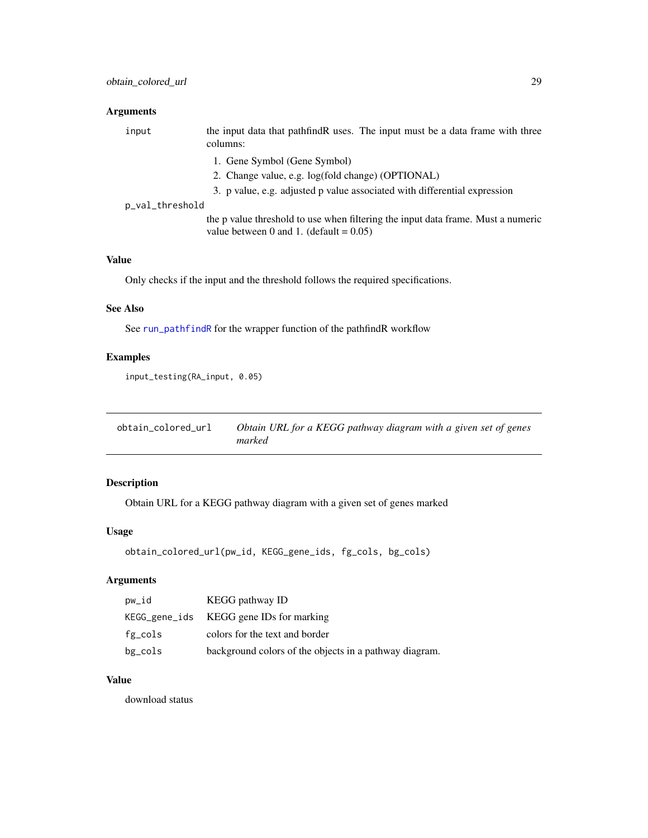# <span id="page-28-0"></span>Arguments

| input           | the input data that pathfind R uses. The input must be a data frame with three<br>columns:                                     |
|-----------------|--------------------------------------------------------------------------------------------------------------------------------|
|                 | 1. Gene Symbol (Gene Symbol)                                                                                                   |
|                 | 2. Change value, e.g. log(fold change) (OPTIONAL)                                                                              |
|                 | 3. p value, e.g. adjusted p value associated with differential expression                                                      |
| p_val_threshold |                                                                                                                                |
|                 | the p value threshold to use when filtering the input data frame. Must a numeric<br>value between 0 and 1. (default = $0.05$ ) |

# Value

Only checks if the input and the threshold follows the required specifications.

# See Also

See [run\\_pathfindR](#page-32-1) for the wrapper function of the pathfindR workflow

# Examples

```
input_testing(RA_input, 0.05)
```

| obtain colored url | Obtain URL for a KEGG pathway diagram with a given set of genes |
|--------------------|-----------------------------------------------------------------|
|                    | marked                                                          |

# Description

Obtain URL for a KEGG pathway diagram with a given set of genes marked

# Usage

```
obtain_colored_url(pw_id, KEGG_gene_ids, fg_cols, bg_cols)
```
# Arguments

| pw_id      | KEGG pathway ID                                        |
|------------|--------------------------------------------------------|
|            | KEGG_gene_ids KEGG gene IDs for marking                |
| $fg\_cols$ | colors for the text and border                         |
| bg_cols    | background colors of the objects in a pathway diagram. |

# Value

download status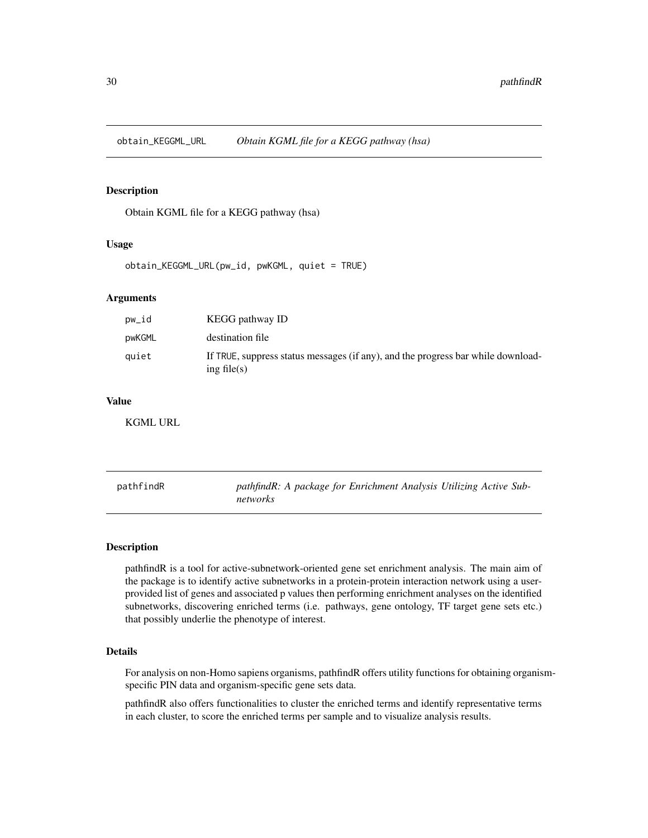<span id="page-29-0"></span>obtain\_KEGGML\_URL *Obtain KGML file for a KEGG pathway (hsa)*

# Description

Obtain KGML file for a KEGG pathway (hsa)

#### Usage

obtain\_KEGGML\_URL(pw\_id, pwKGML, quiet = TRUE)

#### Arguments

| pw_id  | <b>KEGG</b> pathway <b>ID</b>                                                                      |
|--------|----------------------------------------------------------------------------------------------------|
| pwKGML | destination file                                                                                   |
| quiet  | If TRUE, suppress status messages (if any), and the progress bar while download-<br>ing file $(s)$ |

# Value

KGML URL

pathfindR *pathfindR: A package for Enrichment Analysis Utilizing Active Subnetworks*

# **Description**

pathfindR is a tool for active-subnetwork-oriented gene set enrichment analysis. The main aim of the package is to identify active subnetworks in a protein-protein interaction network using a userprovided list of genes and associated p values then performing enrichment analyses on the identified subnetworks, discovering enriched terms (i.e. pathways, gene ontology, TF target gene sets etc.) that possibly underlie the phenotype of interest.

# Details

For analysis on non-Homo sapiens organisms, pathfindR offers utility functions for obtaining organismspecific PIN data and organism-specific gene sets data.

pathfindR also offers functionalities to cluster the enriched terms and identify representative terms in each cluster, to score the enriched terms per sample and to visualize analysis results.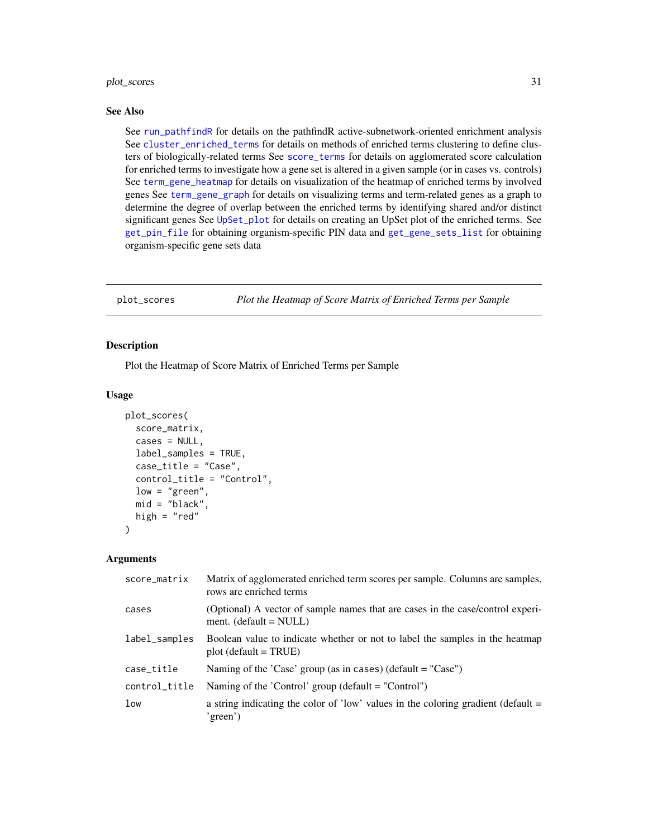# <span id="page-30-0"></span>plot\_scores 31

#### See Also

See [run\\_pathfindR](#page-32-1) for details on the pathfindR active-subnetwork-oriented enrichment analysis See [cluster\\_enriched\\_terms](#page-6-1) for details on methods of enriched terms clustering to define clusters of biologically-related terms See [score\\_terms](#page-37-1) for details on agglomerated score calculation for enriched terms to investigate how a gene set is altered in a given sample (or in cases vs. controls) See [term\\_gene\\_heatmap](#page-41-1) for details on visualization of the heatmap of enriched terms by involved genes See [term\\_gene\\_graph](#page-39-1) for details on visualizing terms and term-related genes as a graph to determine the degree of overlap between the enriched terms by identifying shared and/or distinct significant genes See [UpSet\\_plot](#page-42-1) for details on creating an UpSet plot of the enriched terms. See [get\\_pin\\_file](#page-23-1) for obtaining organism-specific PIN data and [get\\_gene\\_sets\\_list](#page-20-2) for obtaining organism-specific gene sets data

<span id="page-30-1"></span>plot\_scores *Plot the Heatmap of Score Matrix of Enriched Terms per Sample*

#### **Description**

Plot the Heatmap of Score Matrix of Enriched Terms per Sample

#### Usage

```
plot_scores(
  score_matrix,
  cases = NULL,
  label_samples = TRUE,
  case_title = "Case",
  control_title = "Control",
  low = "green",
  mid = "black",
  high = "red"\lambda
```

| score_matrix  | Matrix of agglomerated enriched term scores per sample. Columns are samples,<br>rows are enriched terms    |
|---------------|------------------------------------------------------------------------------------------------------------|
| cases         | (Optional) A vector of sample names that are cases in the case/control experi-<br>ment. $(default = NULL)$ |
| label_samples | Boolean value to indicate whether or not to label the samples in the heatmap<br>$plot (default = TRUE)$    |
| case_title    | Naming of the 'Case' group (as in cases) (default = "Case")                                                |
| control_title | Naming of the 'Control' group (default = "Control")                                                        |
| low           | a string indicating the color of 'low' values in the coloring gradient (default $=$<br>'green')            |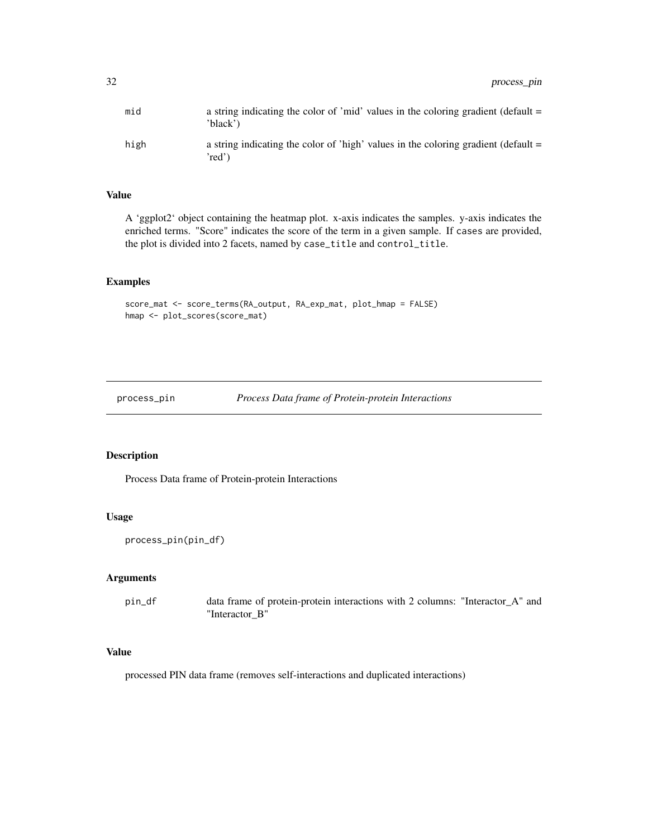<span id="page-31-0"></span>

| mid  | a string indicating the color of 'mid' values in the coloring gradient (default =<br>'black')  |
|------|------------------------------------------------------------------------------------------------|
| high | a string indicating the color of 'high' values in the coloring gradient (default $=$<br>'red') |

A 'ggplot2' object containing the heatmap plot. x-axis indicates the samples. y-axis indicates the enriched terms. "Score" indicates the score of the term in a given sample. If cases are provided, the plot is divided into 2 facets, named by case\_title and control\_title.

#### Examples

```
score_mat <- score_terms(RA_output, RA_exp_mat, plot_hmap = FALSE)
hmap <- plot_scores(score_mat)
```
process\_pin *Process Data frame of Protein-protein Interactions*

#### Description

Process Data frame of Protein-protein Interactions

# Usage

```
process_pin(pin_df)
```
#### Arguments

pin\_df data frame of protein-protein interactions with 2 columns: "Interactor\_A" and "Interactor\_B"

# Value

processed PIN data frame (removes self-interactions and duplicated interactions)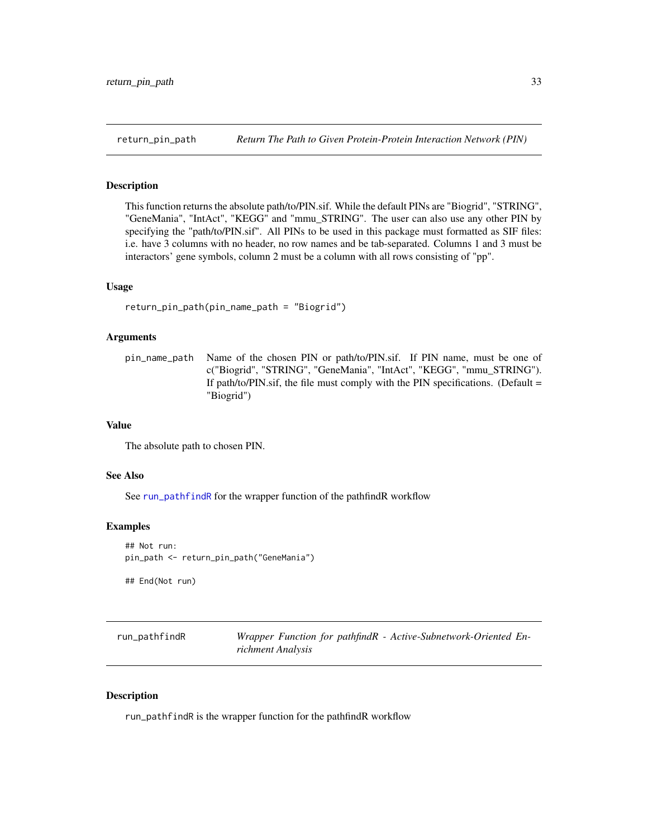# Description

This function returns the absolute path/to/PIN.sif. While the default PINs are "Biogrid", "STRING", "GeneMania", "IntAct", "KEGG" and "mmu\_STRING". The user can also use any other PIN by specifying the "path/to/PIN.sif". All PINs to be used in this package must formatted as SIF files: i.e. have 3 columns with no header, no row names and be tab-separated. Columns 1 and 3 must be interactors' gene symbols, column 2 must be a column with all rows consisting of "pp".

#### Usage

```
return_pin_path(pin_name_path = "Biogrid")
```
# Arguments

pin\_name\_path Name of the chosen PIN or path/to/PIN.sif. If PIN name, must be one of c("Biogrid", "STRING", "GeneMania", "IntAct", "KEGG", "mmu\_STRING"). If path/to/PIN.sif, the file must comply with the PIN specifications. (Default  $=$ "Biogrid")

# Value

The absolute path to chosen PIN.

# See Also

See [run\\_pathfindR](#page-32-1) for the wrapper function of the pathfindR workflow

#### Examples

## Not run: pin\_path <- return\_pin\_path("GeneMania")

## End(Not run)

<span id="page-32-1"></span>run\_pathfindR *Wrapper Function for pathfindR - Active-Subnetwork-Oriented Enrichment Analysis*

#### Description

run\_pathfindR is the wrapper function for the pathfindR workflow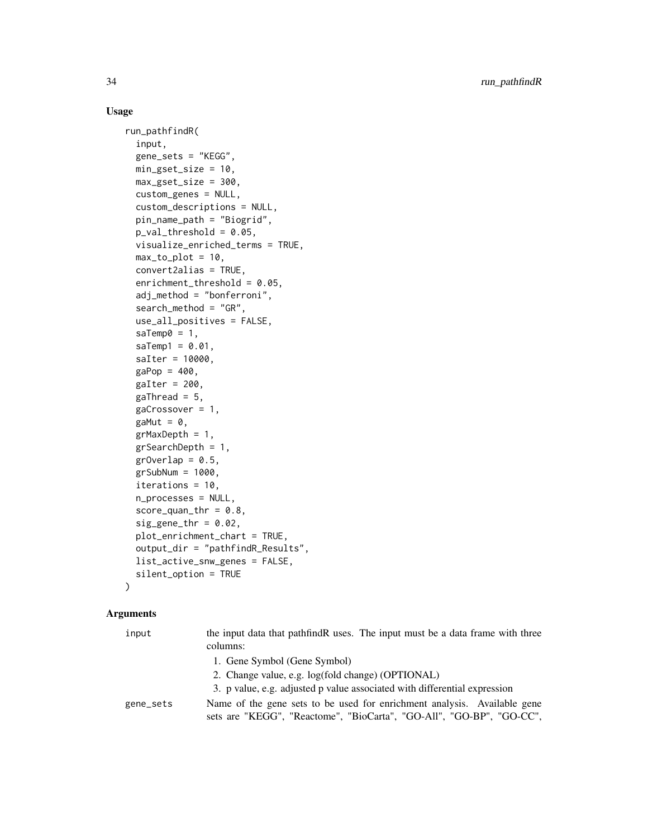# Usage

```
run_pathfindR(
  input,
  gene_sets = "KEGG",
 min_gset_size = 10,
 max_gset_size = 300,
 custom_genes = NULL,
  custom_descriptions = NULL,
 pin_name_path = "Biogrid",
 p_valuethreshold = 0.05,
 visualize_enriched_terms = TRUE,
 max_to_plot = 10,
 convert2alias = TRUE,
  enrichment_threshold = 0.05,
  adj_method = "bonferroni",
  search_method = "GR",
 use_all_positives = FALSE,
  saTemp\theta = 1,
  saTemp1 = 0.01,
  saIter = 10000,
 gap = 400,gaIter = 200,
  gaThread = 5,
  gacrossover = 1,
 gaMut = \theta,
  grMaxDepth = 1,
  grSearchDepth = 1,
 grOverlap = 0.5,
 grSubNum = 1000,iterations = 10,
 n_processes = NULL,
  score\_quant\_thr = 0.8,
  sig\_gene\_thr = 0.02,
 plot_enrichment_chart = TRUE,
  output_dir = "pathfindR_Results",
  list_active_snw_genes = FALSE,
  silent_option = TRUE
\lambda
```

| input     | the input data that pathfindR uses. The input must be a data frame with three<br>columns: |
|-----------|-------------------------------------------------------------------------------------------|
|           | 1. Gene Symbol (Gene Symbol)                                                              |
|           | 2. Change value, e.g. log(fold change) (OPTIONAL)                                         |
|           | 3. p value, e.g. adjusted p value associated with differential expression                 |
| gene_sets | Name of the gene sets to be used for enrichment analysis. Available gene                  |
|           | sets are "KEGG", "Reactome", "BioCarta", "GO-All", "GO-BP", "GO-CC",                      |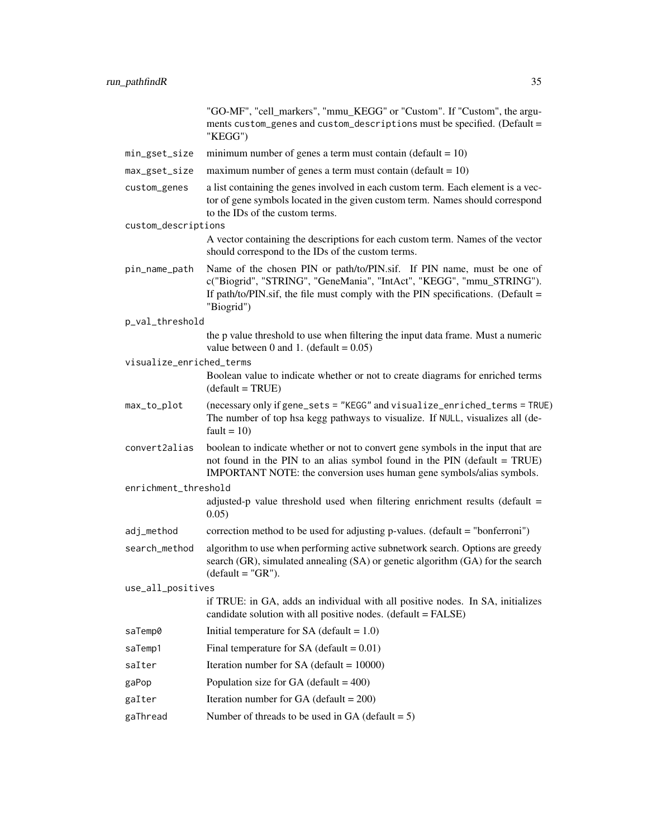"GO-MF", "cell\_markers", "mmu\_KEGG" or "Custom". If "Custom", the arguments custom\_genes and custom\_descriptions must be specified. (Default = "KEGG")

- $min_g$ set\_size minimum number of genes a term must contain (default = 10)
- $max\_gset\_size$  maximum number of genes a term must contain (default = 10)
- custom\_genes a list containing the genes involved in each custom term. Each element is a vector of gene symbols located in the given custom term. Names should correspond to the IDs of the custom terms.
- custom\_descriptions

A vector containing the descriptions for each custom term. Names of the vector should correspond to the IDs of the custom terms.

- pin\_name\_path Name of the chosen PIN or path/to/PIN.sif. If PIN name, must be one of c("Biogrid", "STRING", "GeneMania", "IntAct", "KEGG", "mmu\_STRING"). If path/to/PIN.sif, the file must comply with the PIN specifications. (Default  $=$ "Biogrid")
- p\_val\_threshold the p value threshold to use when filtering the input data frame. Must a numeric
	- value between 0 and 1. (default =  $0.05$ )
- visualize\_enriched\_terms
	- Boolean value to indicate whether or not to create diagrams for enriched terms  $(default = TRUE)$
- max\_to\_plot (necessary only if gene\_sets = "KEGG" and visualize\_enriched\_terms = TRUE) The number of top hsa kegg pathways to visualize. If NULL, visualizes all (de $fault = 10$
- convert2alias boolean to indicate whether or not to convert gene symbols in the input that are not found in the PIN to an alias symbol found in the PIN (default  $= TRUE$ ) IMPORTANT NOTE: the conversion uses human gene symbols/alias symbols.

enrichment\_threshold

- adjusted-p value threshold used when filtering enrichment results (default  $=$ 0.05)
- adj\_method correction method to be used for adjusting p-values. (default = "bonferroni")
- search\_method algorithm to use when performing active subnetwork search. Options are greedy search (GR), simulated annealing (SA) or genetic algorithm (GA) for the search  $(detault = "GR")$ .

use\_all\_positives

```
if TRUE: in GA, adds an individual with all positive nodes. In SA, initializes
candidate solution with all positive nodes. (default = FALSE)
```
- saTemp0 Initial temperature for  $SA$  (default = 1.0)
- saTemp1 Final temperature for  $SA$  (default =  $0.01$ )
- $s$ aIter Iteration number for SA (default = 10000)
- gaPop Population size for  $GA$  (default =  $400$ )
- gaIter Iteration number for  $GA$  (default = 200)
- gaThread Number of threads to be used in GA (default  $= 5$ )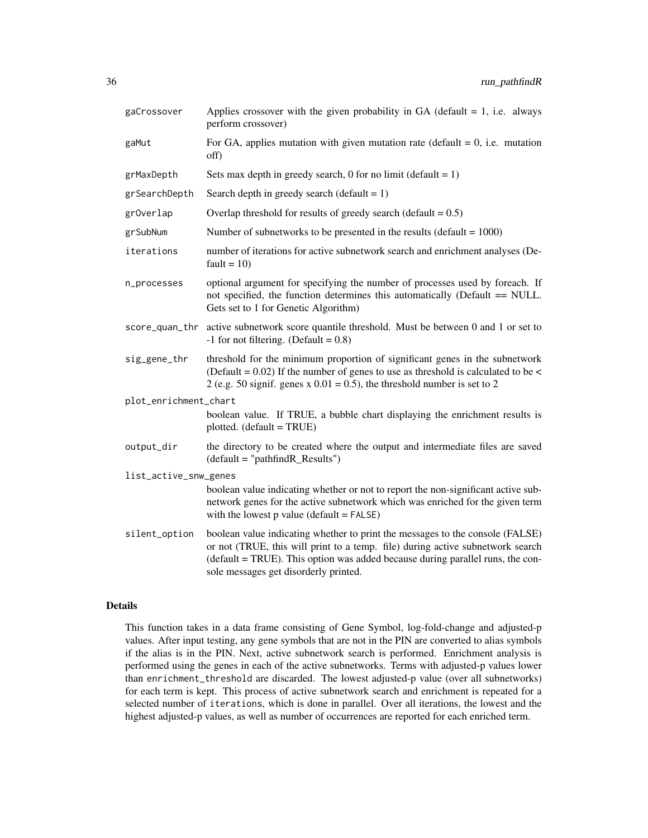| gaCrossover           | Applies crossover with the given probability in GA (default $= 1$ , i.e. always<br>perform crossover)                                                                                                                                                                                      |  |
|-----------------------|--------------------------------------------------------------------------------------------------------------------------------------------------------------------------------------------------------------------------------------------------------------------------------------------|--|
| gaMut                 | For GA, applies mutation with given mutation rate (default $= 0$ , i.e. mutation<br>off)                                                                                                                                                                                                   |  |
| grMaxDepth            | Sets max depth in greedy search, 0 for no limit (default = $1$ )                                                                                                                                                                                                                           |  |
| grSearchDepth         | Search depth in greedy search (default = $1$ )                                                                                                                                                                                                                                             |  |
| gr0verlap             | Overlap threshold for results of greedy search (default = $0.5$ )                                                                                                                                                                                                                          |  |
| grSubNum              | Number of subnetworks to be presented in the results (default $= 1000$ )                                                                                                                                                                                                                   |  |
| iterations            | number of iterations for active subnetwork search and enrichment analyses (De-<br>fault = $10$ )                                                                                                                                                                                           |  |
| n_processes           | optional argument for specifying the number of processes used by foreach. If<br>not specified, the function determines this automatically (Default == NULL.<br>Gets set to 1 for Genetic Algorithm)                                                                                        |  |
| score_quan_thr        | active subnetwork score quantile threshold. Must be between 0 and 1 or set to<br>$-1$ for not filtering. (Default = 0.8)                                                                                                                                                                   |  |
| sig_gene_thr          | threshold for the minimum proportion of significant genes in the subnetwork<br>(Default = $0.02$ ) If the number of genes to use as threshold is calculated to be <<br>2 (e.g. 50 signif. genes x $0.01 = 0.5$ ), the threshold number is set to 2                                         |  |
| plot_enrichment_chart |                                                                                                                                                                                                                                                                                            |  |
|                       | boolean value. If TRUE, a bubble chart displaying the enrichment results is<br>$plotted. (default = TRUE)$                                                                                                                                                                                 |  |
| output_dir            | the directory to be created where the output and intermediate files are saved<br>$(detault = "pathfindR\_Results")$                                                                                                                                                                        |  |
| list_active_snw_genes |                                                                                                                                                                                                                                                                                            |  |
|                       | boolean value indicating whether or not to report the non-significant active sub-<br>network genes for the active subnetwork which was enriched for the given term<br>with the lowest $p$ value (default = $FALSE$ )                                                                       |  |
| silent_option         | boolean value indicating whether to print the messages to the console (FALSE)<br>or not (TRUE, this will print to a temp. file) during active subnetwork search<br>(default = TRUE). This option was added because during parallel runs, the con-<br>sole messages get disorderly printed. |  |

# Details

This function takes in a data frame consisting of Gene Symbol, log-fold-change and adjusted-p values. After input testing, any gene symbols that are not in the PIN are converted to alias symbols if the alias is in the PIN. Next, active subnetwork search is performed. Enrichment analysis is performed using the genes in each of the active subnetworks. Terms with adjusted-p values lower than enrichment\_threshold are discarded. The lowest adjusted-p value (over all subnetworks) for each term is kept. This process of active subnetwork search and enrichment is repeated for a selected number of iterations, which is done in parallel. Over all iterations, the lowest and the highest adjusted-p values, as well as number of occurrences are reported for each enriched term.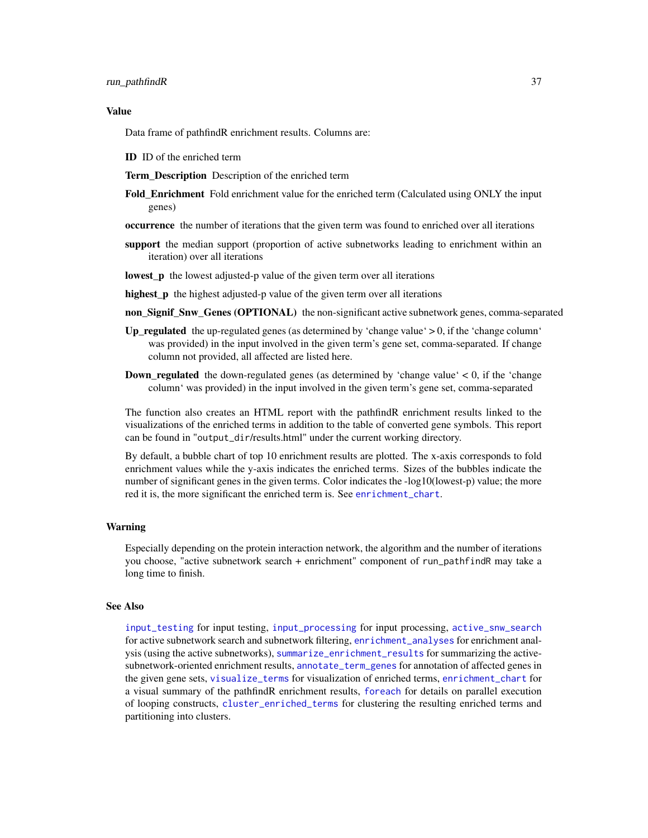<span id="page-36-0"></span>Data frame of pathfindR enrichment results. Columns are:

ID ID of the enriched term

Term Description Description of the enriched term

- Fold\_Enrichment Fold enrichment value for the enriched term (Calculated using ONLY the input genes)
- occurrence the number of iterations that the given term was found to enriched over all iterations
- support the median support (proportion of active subnetworks leading to enrichment within an iteration) over all iterations
- **lowest p** the lowest adjusted-p value of the given term over all iterations
- highest\_p the highest adjusted-p value of the given term over all iterations
- non\_Signif\_Snw\_Genes (OPTIONAL) the non-significant active subnetwork genes, comma-separated
- Up\_regulated the up-regulated genes (as determined by 'change value'  $> 0$ , if the 'change column' was provided) in the input involved in the given term's gene set, comma-separated. If change column not provided, all affected are listed here.
- Down\_regulated the down-regulated genes (as determined by 'change value' < 0, if the 'change column' was provided) in the input involved in the given term's gene set, comma-separated

The function also creates an HTML report with the pathfindR enrichment results linked to the visualizations of the enriched terms in addition to the table of converted gene symbols. This report can be found in "output\_dir/results.html" under the current working directory.

By default, a bubble chart of top 10 enrichment results are plotted. The x-axis corresponds to fold enrichment values while the y-axis indicates the enriched terms. Sizes of the bubbles indicate the number of significant genes in the given terms. Color indicates the -log10(lowest-p) value; the more red it is, the more significant the enriched term is. See [enrichment\\_chart](#page-15-1).

#### Warning

Especially depending on the protein interaction network, the algorithm and the number of iterations you choose, "active subnetwork search + enrichment" component of run\_pathfindR may take a long time to finish.

#### See Also

[input\\_testing](#page-27-1) for input testing, [input\\_processing](#page-26-1) for input processing, [active\\_snw\\_search](#page-2-1) for active subnetwork search and subnetwork filtering, [enrichment\\_analyses](#page-14-1) for enrichment analysis (using the active subnetworks), [summarize\\_enrichment\\_results](#page-38-1) for summarizing the activesubnetwork-oriented enrichment results, [annotate\\_term\\_genes](#page-4-1) for annotation of affected genes in the given gene sets, [visualize\\_terms](#page-46-1) for visualization of enriched terms, [enrichment\\_chart](#page-15-1) for a visual summary of the pathfindR enrichment results, [foreach](#page-0-0) for details on parallel execution of looping constructs, [cluster\\_enriched\\_terms](#page-6-1) for clustering the resulting enriched terms and partitioning into clusters.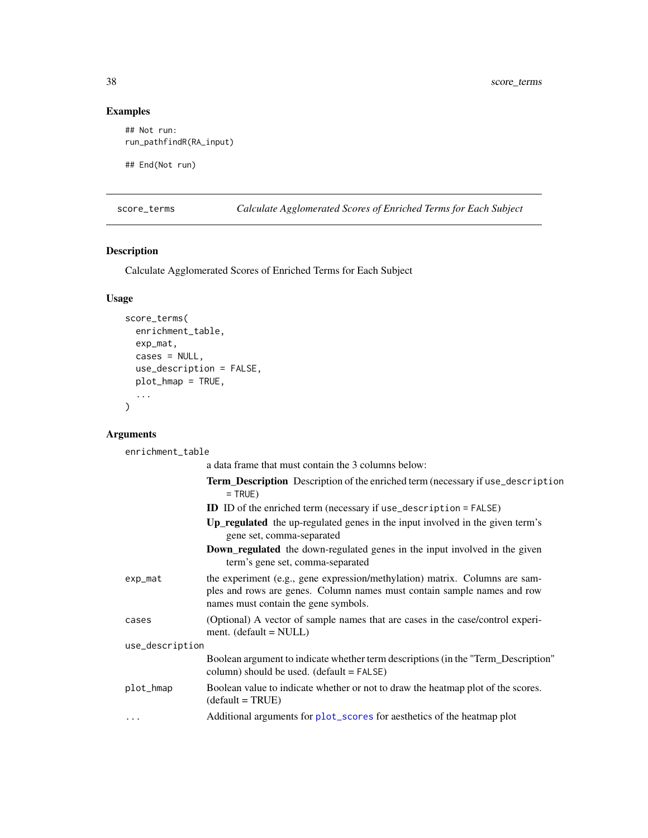# Examples

```
## Not run:
run_pathfindR(RA_input)
## End(Not run)
```
<span id="page-37-1"></span>score\_terms *Calculate Agglomerated Scores of Enriched Terms for Each Subject*

# Description

Calculate Agglomerated Scores of Enriched Terms for Each Subject

# Usage

```
score_terms(
 enrichment_table,
 exp_mat,
 cases = NULL,
 use_description = FALSE,
 plot_hmap = TRUE,
  ...
)
```
# Arguments

enrichment\_table

|                 | a data frame that must contain the 3 columns below:                                                                                                                                            |
|-----------------|------------------------------------------------------------------------------------------------------------------------------------------------------------------------------------------------|
|                 | <b>Term_Description</b> Description of the enriched term (necessary if use_description<br>$=$ TRUE)                                                                                            |
|                 | <b>ID</b> ID of the enriched term (necessary if use_description = FALSE)                                                                                                                       |
|                 | Up_regulated the up-regulated genes in the input involved in the given term's<br>gene set, comma-separated                                                                                     |
|                 | <b>Down_regulated</b> the down-regulated genes in the input involved in the given<br>term's gene set, comma-separated                                                                          |
| exp_mat         | the experiment (e.g., gene expression/methylation) matrix. Columns are sam-<br>ples and rows are genes. Column names must contain sample names and row<br>names must contain the gene symbols. |
| cases           | (Optional) A vector of sample names that are cases in the case/control experi-<br>ment. $(default = NULL)$                                                                                     |
| use_description |                                                                                                                                                                                                |
|                 | Boolean argument to indicate whether term descriptions (in the "Term_Description"<br>column) should be used. $(detault = FALSE)$                                                               |
| plot_hmap       | Boolean value to indicate whether or not to draw the heatmap plot of the scores.<br>$(detault = TRUE)$                                                                                         |
| $\cdots$        | Additional arguments for plot_scores for aesthetics of the heatmap plot                                                                                                                        |

<span id="page-37-0"></span>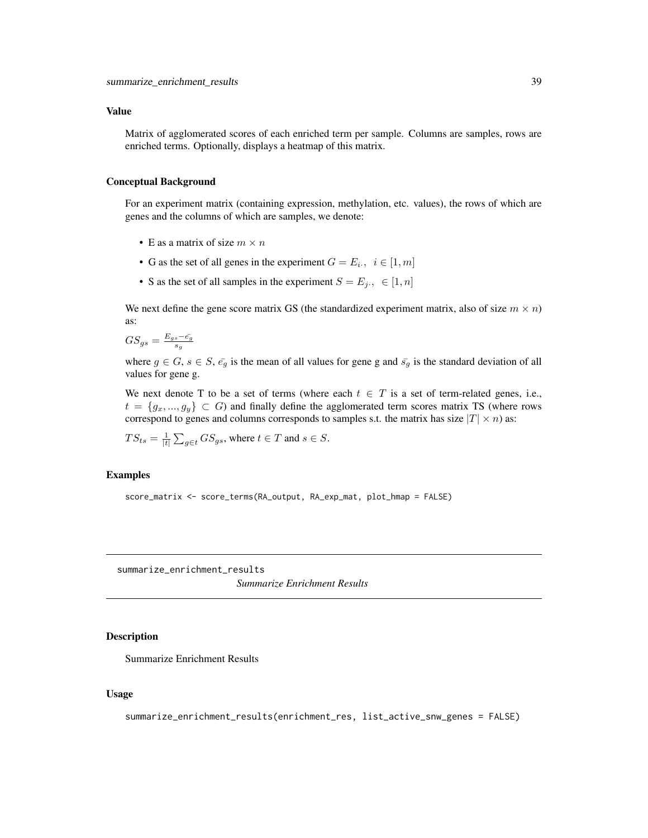<span id="page-38-0"></span>Matrix of agglomerated scores of each enriched term per sample. Columns are samples, rows are enriched terms. Optionally, displays a heatmap of this matrix.

#### Conceptual Background

For an experiment matrix (containing expression, methylation, etc. values), the rows of which are genes and the columns of which are samples, we denote:

- E as a matrix of size  $m \times n$
- G as the set of all genes in the experiment  $G = E_i, i \in [1, m]$
- S as the set of all samples in the experiment  $S = E_j$ .,  $\in [1, n]$

We next define the gene score matrix GS (the standardized experiment matrix, also of size  $m \times n$ ) as:

$$
GS_{gs} = \frac{E_{gs} - \bar{e_g}}{s_g}
$$

where  $g \in G$ ,  $s \in S$ ,  $\bar{e_g}$  is the mean of all values for gene g and  $\bar{s_g}$  is the standard deviation of all values for gene g.

We next denote T to be a set of terms (where each  $t \in T$  is a set of term-related genes, i.e.,  $t = \{g_x, ..., g_y\} \subset G$ ) and finally define the agglomerated term scores matrix TS (where rows correspond to genes and columns corresponds to samples s.t. the matrix has size  $|T| \times n$ ) as:

$$
TS_{ts} = \frac{1}{|t|} \sum_{g \in t} GS_{gs}
$$
, where  $t \in T$  and  $s \in S$ .

# Examples

score\_matrix <- score\_terms(RA\_output, RA\_exp\_mat, plot\_hmap = FALSE)

<span id="page-38-1"></span>summarize\_enrichment\_results

*Summarize Enrichment Results*

#### Description

Summarize Enrichment Results

#### Usage

```
summarize_enrichment_results(enrichment_res, list_active_snw_genes = FALSE)
```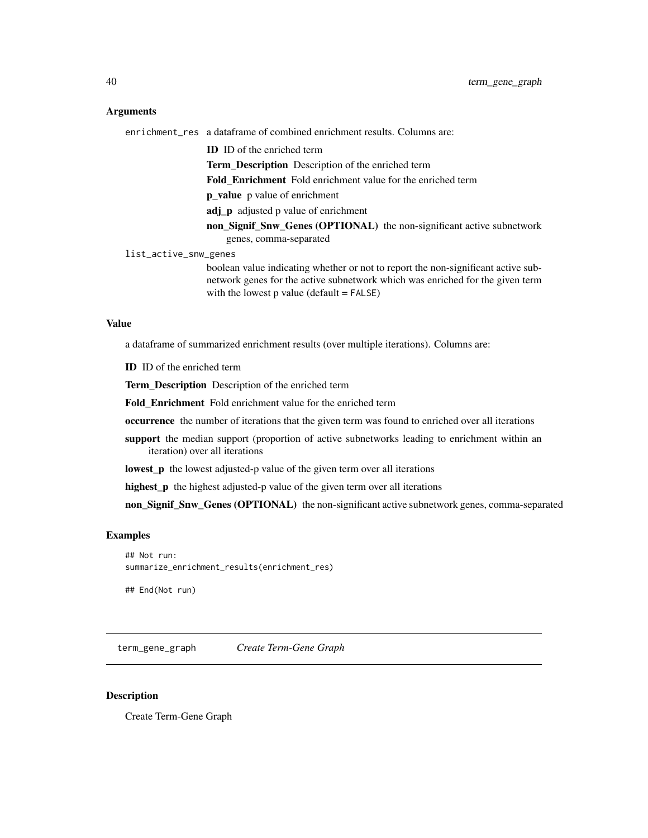#### <span id="page-39-0"></span>Arguments

enrichment\_res a dataframe of combined enrichment results. Columns are:

ID ID of the enriched term

Term Description Description of the enriched term

Fold\_Enrichment Fold enrichment value for the enriched term

p\_value p value of enrichment

adj\_p adjusted p value of enrichment

non\_Signif\_Snw\_Genes (OPTIONAL) the non-significant active subnetwork genes, comma-separated

list\_active\_snw\_genes

boolean value indicating whether or not to report the non-significant active subnetwork genes for the active subnetwork which was enriched for the given term with the lowest  $p$  value (default =  $FALSE$ )

#### Value

a dataframe of summarized enrichment results (over multiple iterations). Columns are:

ID ID of the enriched term

Term\_Description Description of the enriched term

Fold Enrichment Fold enrichment value for the enriched term

occurrence the number of iterations that the given term was found to enriched over all iterations

support the median support (proportion of active subnetworks leading to enrichment within an iteration) over all iterations

**lowest\_p** the lowest adjusted-p value of the given term over all iterations

highest\_p the highest adjusted-p value of the given term over all iterations

non\_Signif\_Snw\_Genes (OPTIONAL) the non-significant active subnetwork genes, comma-separated

#### Examples

## Not run: summarize\_enrichment\_results(enrichment\_res)

## End(Not run)

<span id="page-39-1"></span>term\_gene\_graph *Create Term-Gene Graph*

#### **Description**

Create Term-Gene Graph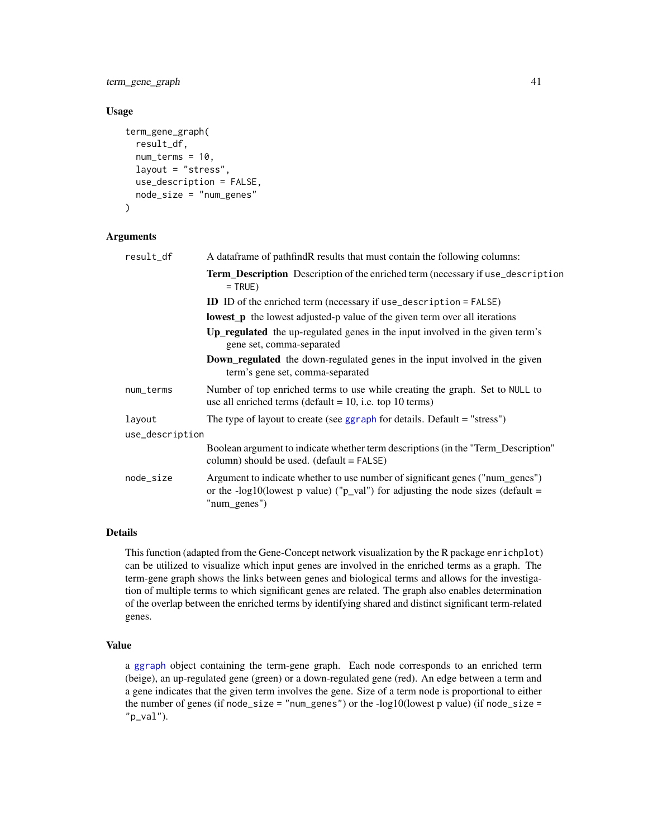<span id="page-40-0"></span>term\_gene\_graph 41

#### Usage

```
term_gene_graph(
  result_df,
  num_terms = 10,
  layout = "stress",
 use_description = FALSE,
  node_size = "num_genes"
)
```
# Arguments

| result_df       | A data frame of pathfind R results that must contain the following columns:                                                                                                      |
|-----------------|----------------------------------------------------------------------------------------------------------------------------------------------------------------------------------|
|                 | Term_Description Description of the enriched term (necessary if use_description<br>$=$ TRUE)                                                                                     |
|                 | <b>ID</b> ID of the enriched term (necessary if use_description = FALSE)                                                                                                         |
|                 | <b>lowest_p</b> the lowest adjusted-p value of the given term over all iterations                                                                                                |
|                 | Up_regulated the up-regulated genes in the input involved in the given term's<br>gene set, comma-separated                                                                       |
|                 | <b>Down_regulated</b> the down-regulated genes in the input involved in the given<br>term's gene set, comma-separated                                                            |
| num_terms       | Number of top enriched terms to use while creating the graph. Set to NULL to<br>use all enriched terms (default $= 10$ , i.e. top 10 terms)                                      |
| layout          | The type of layout to create (see $ggraph$ for details. Default = "stress")                                                                                                      |
| use_description |                                                                                                                                                                                  |
|                 | Boolean argument to indicate whether term descriptions (in the "Term_Description"<br>column) should be used. $(detault = FALSE)$                                                 |
| node_size       | Argument to indicate whether to use number of significant genes ("num_genes")<br>or the -log10(lowest p value) ("p_val") for adjusting the node sizes (default =<br>"num_genes") |
|                 |                                                                                                                                                                                  |

#### Details

This function (adapted from the Gene-Concept network visualization by the R package enrichplot) can be utilized to visualize which input genes are involved in the enriched terms as a graph. The term-gene graph shows the links between genes and biological terms and allows for the investigation of multiple terms to which significant genes are related. The graph also enables determination of the overlap between the enriched terms by identifying shared and distinct significant term-related genes.

# Value

a [ggraph](#page-0-0) object containing the term-gene graph. Each node corresponds to an enriched term (beige), an up-regulated gene (green) or a down-regulated gene (red). An edge between a term and a gene indicates that the given term involves the gene. Size of a term node is proportional to either the number of genes (if node\_size = "num\_genes") or the -log10(lowest p value) (if node\_size =  $"p_val".$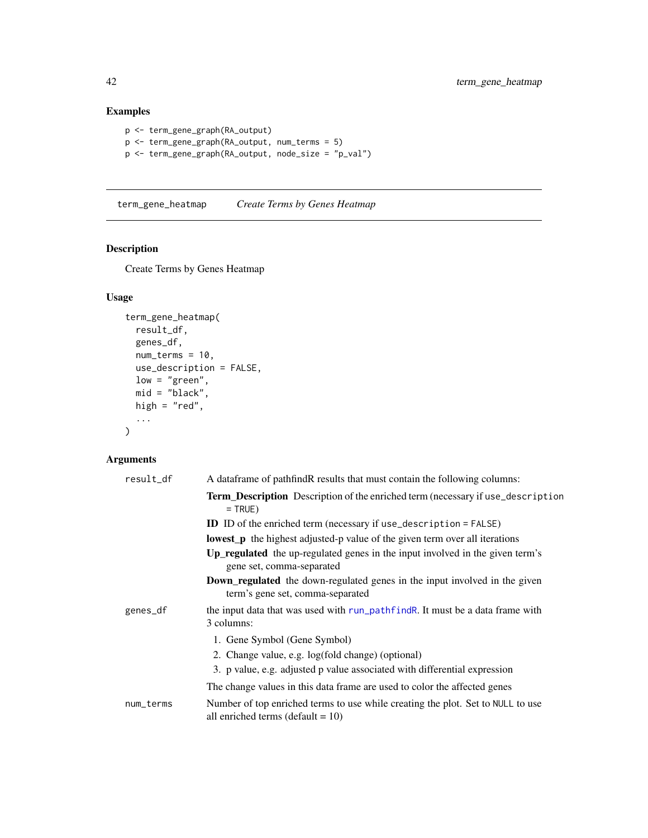# Examples

```
p <- term_gene_graph(RA_output)
p <- term_gene_graph(RA_output, num_terms = 5)
p <- term_gene_graph(RA_output, node_size = "p_val")
```
<span id="page-41-1"></span>term\_gene\_heatmap *Create Terms by Genes Heatmap*

# Description

Create Terms by Genes Heatmap

# Usage

```
term_gene_heatmap(
 result_df,
 genes_df,
 num_terns = 10,
 use_description = FALSE,
 low = "green",
 mid = "black",
 high = "red",...
)
```

| A data frame of pathfind R results that must contain the following columns:                                             |
|-------------------------------------------------------------------------------------------------------------------------|
| Term_Description Description of the enriched term (necessary if use_description<br>$=$ TRUE)                            |
| <b>ID</b> ID of the enriched term (necessary if use_description = FALSE)                                                |
| <b>lowest</b> p the highest adjusted-p value of the given term over all iterations                                      |
| Up_regulated the up-regulated genes in the input involved in the given term's<br>gene set, comma-separated              |
| <b>Down_regulated</b> the down-regulated genes in the input involved in the given<br>term's gene set, comma-separated   |
| the input data that was used with run_pathfind R. It must be a data frame with<br>3 columns:                            |
| 1. Gene Symbol (Gene Symbol)                                                                                            |
| 2. Change value, e.g. log(fold change) (optional)                                                                       |
| 3. p value, e.g. adjusted p value associated with differential expression                                               |
| The change values in this data frame are used to color the affected genes                                               |
| Number of top enriched terms to use while creating the plot. Set to NULL to use<br>all enriched terms (default $= 10$ ) |
|                                                                                                                         |

<span id="page-41-0"></span>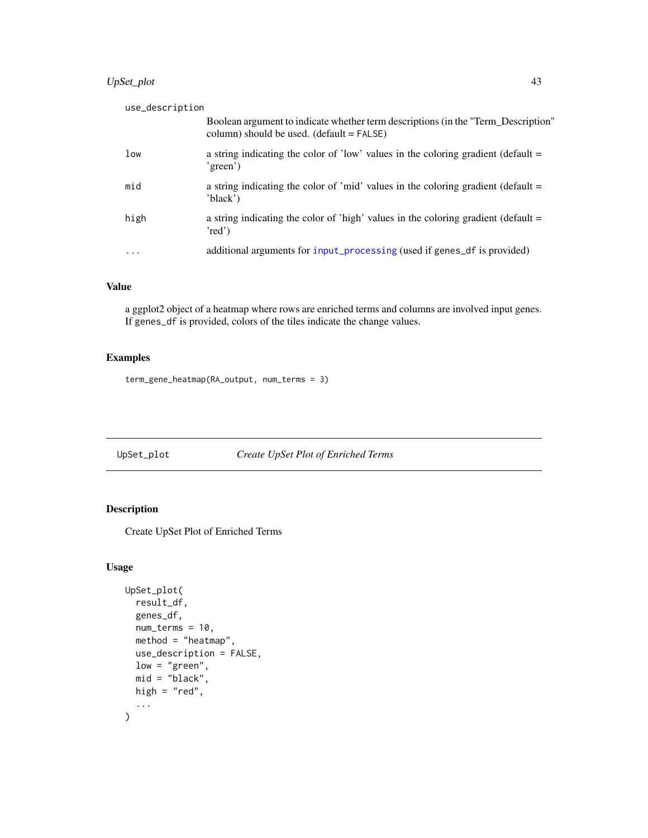# <span id="page-42-0"></span>UpSet\_plot 43

| column) should be used. $(detault = FALSE)$<br>a string indicating the color of 'low' values in the coloring gradient (default $=$<br>low<br>'green')<br>mid<br>a string indicating the color of 'mid' values in the coloring gradient (default =<br>'black')<br>high<br>a string indicating the color of 'high' values in the coloring gradient (default $=$<br>'red')<br>additional arguments for input_processing (used if genes_df is provided)<br>$\ddotsc$ | use_description |                                                                                   |
|------------------------------------------------------------------------------------------------------------------------------------------------------------------------------------------------------------------------------------------------------------------------------------------------------------------------------------------------------------------------------------------------------------------------------------------------------------------|-----------------|-----------------------------------------------------------------------------------|
|                                                                                                                                                                                                                                                                                                                                                                                                                                                                  |                 | Boolean argument to indicate whether term descriptions (in the "Term_Description" |
|                                                                                                                                                                                                                                                                                                                                                                                                                                                                  |                 |                                                                                   |
|                                                                                                                                                                                                                                                                                                                                                                                                                                                                  |                 |                                                                                   |
|                                                                                                                                                                                                                                                                                                                                                                                                                                                                  |                 |                                                                                   |
|                                                                                                                                                                                                                                                                                                                                                                                                                                                                  |                 |                                                                                   |

# Value

a ggplot2 object of a heatmap where rows are enriched terms and columns are involved input genes. If genes\_df is provided, colors of the tiles indicate the change values.

# Examples

term\_gene\_heatmap(RA\_output, num\_terms = 3)

<span id="page-42-1"></span>UpSet\_plot *Create UpSet Plot of Enriched Terms*

# Description

Create UpSet Plot of Enriched Terms

# Usage

```
UpSet_plot(
  result_df,
 genes_df,
 num_terms = 10,
 method = "heatmap",
 use_description = FALSE,
 low = "green",
 mid = "black",high = "red",...
)
```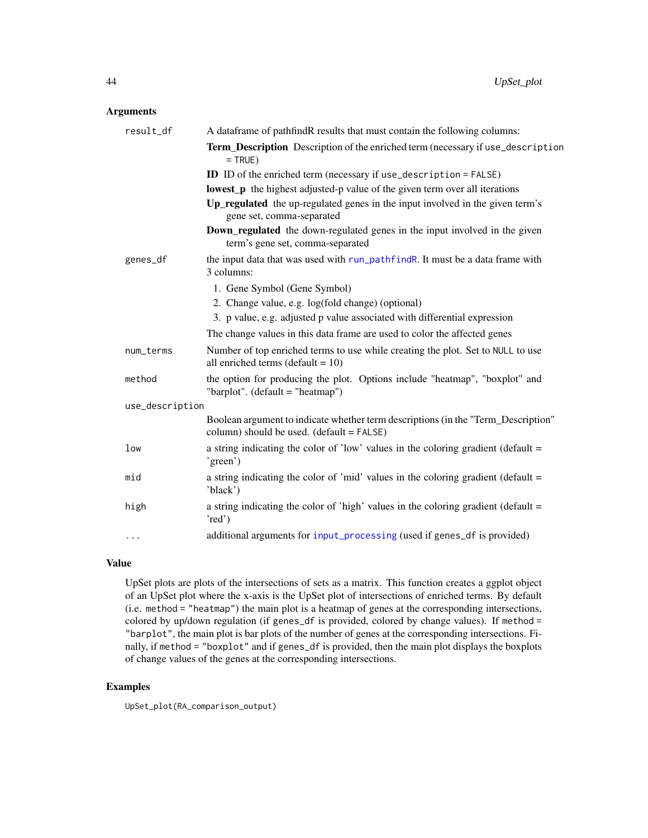# <span id="page-43-0"></span>Arguments

| result_df       | A dataframe of pathfindR results that must contain the following columns:                                                      |
|-----------------|--------------------------------------------------------------------------------------------------------------------------------|
|                 | Term_Description Description of the enriched term (necessary if use_description<br>$=$ TRUE)                                   |
|                 | <b>ID</b> ID of the enriched term (necessary if use_description = FALSE)                                                       |
|                 | <b>lowest_p</b> the highest adjusted-p value of the given term over all iterations                                             |
|                 | Up_regulated the up-regulated genes in the input involved in the given term's<br>gene set, comma-separated                     |
|                 | Down_regulated the down-regulated genes in the input involved in the given<br>term's gene set, comma-separated                 |
| genes_df        | the input data that was used with run_pathfindR. It must be a data frame with<br>3 columns:                                    |
|                 | 1. Gene Symbol (Gene Symbol)                                                                                                   |
|                 | 2. Change value, e.g. log(fold change) (optional)                                                                              |
|                 | 3. p value, e.g. adjusted p value associated with differential expression                                                      |
|                 | The change values in this data frame are used to color the affected genes                                                      |
| num_terms       | Number of top enriched terms to use while creating the plot. Set to NULL to use<br>all enriched terms (default = $10$ )        |
| method          | the option for producing the plot. Options include "heatmap", "boxplot" and<br>"barplot". $(detault = "heatmap")$              |
| use_description |                                                                                                                                |
|                 | Boolean argument to indicate whether term descriptions (in the "Term_Description"<br>column) should be used. (default = FALSE) |
| low             | a string indicating the color of 'low' values in the coloring gradient (default =<br>'green')                                  |
| mid             | a string indicating the color of 'mid' values in the coloring gradient (default =<br>'black')                                  |
| high            | a string indicating the color of 'high' values in the coloring gradient (default =<br>'red')                                   |
| $\cdots$        | additional arguments for input_processing (used if genes_df is provided)                                                       |

# Value

UpSet plots are plots of the intersections of sets as a matrix. This function creates a ggplot object of an UpSet plot where the x-axis is the UpSet plot of intersections of enriched terms. By default (i.e. method = "heatmap") the main plot is a heatmap of genes at the corresponding intersections, colored by up/down regulation (if genes\_df is provided, colored by change values). If method = "barplot", the main plot is bar plots of the number of genes at the corresponding intersections. Finally, if method = "boxplot" and if genes\_df is provided, then the main plot displays the boxplots of change values of the genes at the corresponding intersections.

# Examples

UpSet\_plot(RA\_comparison\_output)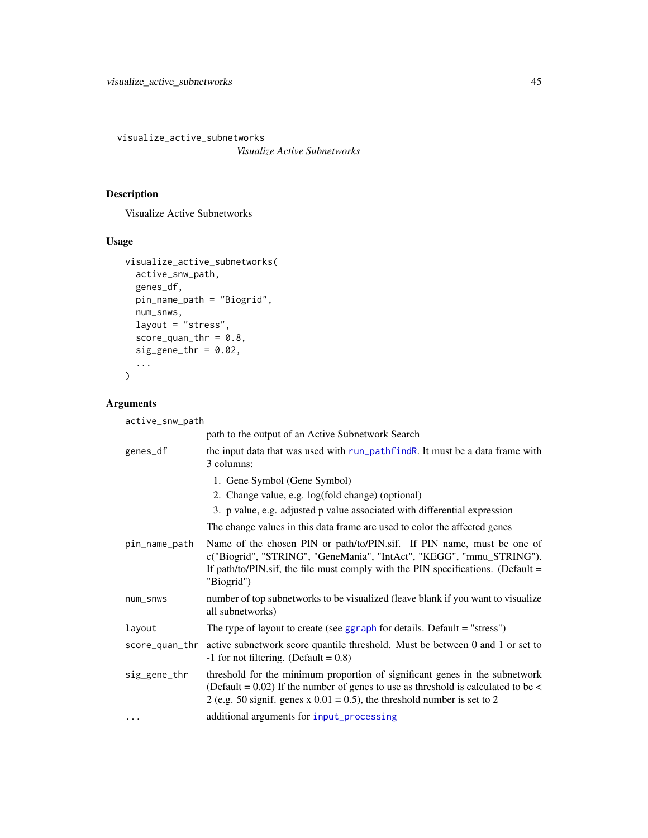<span id="page-44-0"></span>visualize\_active\_subnetworks

*Visualize Active Subnetworks*

# Description

Visualize Active Subnetworks

# Usage

```
visualize_active_subnetworks(
  active_snw_path,
  genes_df,
 pin_name_path = "Biogrid",
 num_snws,
 layout = "stress",
  score\_quant\_thr = 0.8,
  sig\_gene\_thr = 0.02,
  ...
)
```
# Arguments

active\_snw\_path

|               | path to the output of an Active Subnetwork Search                                                                                                                                                                                                  |
|---------------|----------------------------------------------------------------------------------------------------------------------------------------------------------------------------------------------------------------------------------------------------|
| genes_df      | the input data that was used with run_pathfindR. It must be a data frame with<br>3 columns:                                                                                                                                                        |
|               | 1. Gene Symbol (Gene Symbol)                                                                                                                                                                                                                       |
|               | 2. Change value, e.g. log(fold change) (optional)                                                                                                                                                                                                  |
|               | 3. p value, e.g. adjusted p value associated with differential expression                                                                                                                                                                          |
|               | The change values in this data frame are used to color the affected genes                                                                                                                                                                          |
| pin_name_path | Name of the chosen PIN or path/to/PIN.sif. If PIN name, must be one of<br>c("Biogrid", "STRING", "GeneMania", "IntAct", "KEGG", "mmu_STRING").<br>If path/to/PIN.sif, the file must comply with the PIN specifications. (Default $=$<br>"Biogrid") |
| num_snws      | number of top subnetworks to be visualized (leave blank if you want to visualize<br>all subnetworks)                                                                                                                                               |
| layout        | The type of layout to create (see $ggraph$ for details. Default = "stress")                                                                                                                                                                        |
|               | score_quan_thr active subnetwork score quantile threshold. Must be between 0 and 1 or set to<br>$-1$ for not filtering. (Default = 0.8)                                                                                                            |
| sig_gene_thr  | threshold for the minimum proportion of significant genes in the subnetwork<br>(Default = $0.02$ ) If the number of genes to use as threshold is calculated to be <<br>2 (e.g. 50 signif. genes x $0.01 = 0.5$ ), the threshold number is set to 2 |
|               | additional arguments for input_processing                                                                                                                                                                                                          |
|               |                                                                                                                                                                                                                                                    |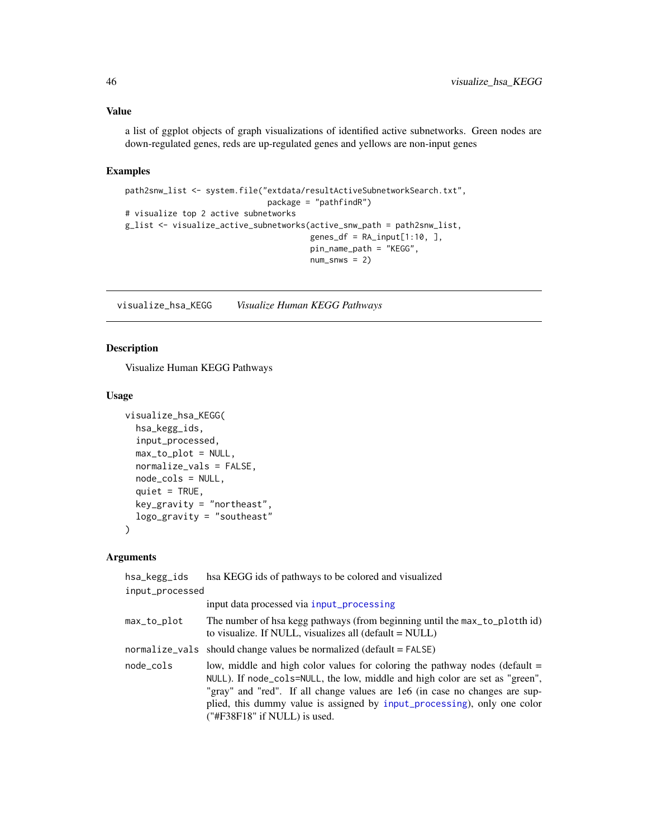<span id="page-45-0"></span>a list of ggplot objects of graph visualizations of identified active subnetworks. Green nodes are down-regulated genes, reds are up-regulated genes and yellows are non-input genes

# Examples

```
path2snw_list <- system.file("extdata/resultActiveSubnetworkSearch.txt",
                             package = "pathfindR")
# visualize top 2 active subnetworks
g_list <- visualize_active_subnetworks(active_snw_path = path2snw_list,
                                      genes_df = RA_input[1:10, ]pin_name_path = "KEGG",
                                      num\_snws = 2)
```
<span id="page-45-1"></span>visualize\_hsa\_KEGG *Visualize Human KEGG Pathways*

# Description

Visualize Human KEGG Pathways

#### Usage

```
visualize_hsa_KEGG(
  hsa_kegg_ids,
  input_processed,
  max_to_plot = NULL,
  normalize_vals = FALSE,
  node_cols = NULL,
  quiet = TRUE,
  key_gravity = "northeast",
  logo_gravity = "southeast"
)
```

| hsa_kegg_ids    | hsa KEGG ids of pathways to be colored and visualized                                                                                                                                                                                                                                                                                                      |
|-----------------|------------------------------------------------------------------------------------------------------------------------------------------------------------------------------------------------------------------------------------------------------------------------------------------------------------------------------------------------------------|
| input_processed |                                                                                                                                                                                                                                                                                                                                                            |
|                 | input data processed via input_processing                                                                                                                                                                                                                                                                                                                  |
| max_to_plot     | The number of hsa kegg pathways (from beginning until the max_to_plotth id)<br>to visualize. If NULL, visualizes all $(\text{default} = \text{NULL})$                                                                                                                                                                                                      |
|                 | normalize_vals should change values be normalized (default = FALSE)                                                                                                                                                                                                                                                                                        |
| node_cols       | low, middle and high color values for coloring the pathway nodes (default $=$<br>NULL). If node_cols=NULL, the low, middle and high color are set as "green",<br>"gray" and "red". If all change values are 1e6 (in case no changes are sup-<br>plied, this dummy value is assigned by input_processing), only one color<br>$("HF38F18"$ if NULL) is used. |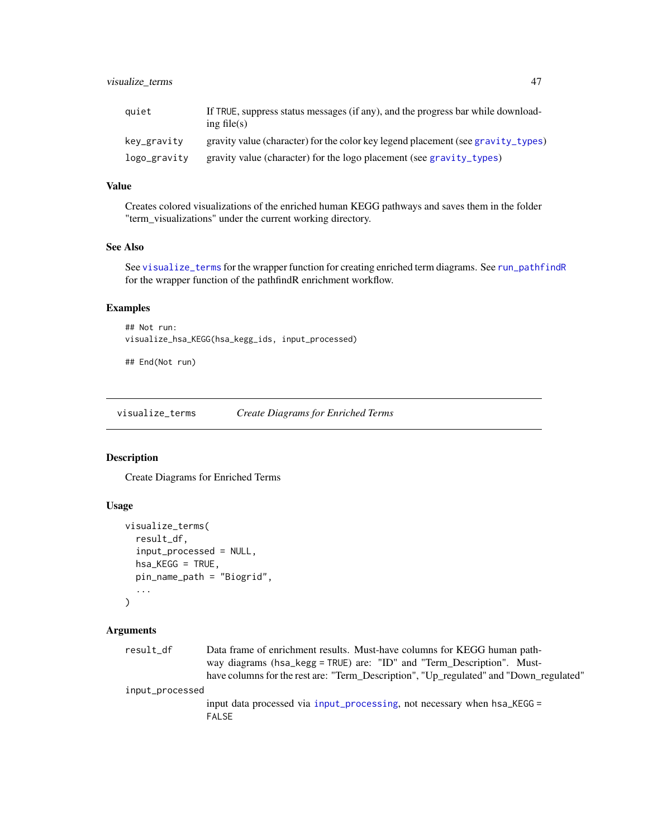<span id="page-46-0"></span>

| auiet        | If TRUE, suppress status messages (if any), and the progress bar while download-<br>ing file $(s)$ |
|--------------|----------------------------------------------------------------------------------------------------|
| kev_gravity  | gravity value (character) for the color key legend placement (see gravity_types)                   |
| logo_gravity | gravity value (character) for the logo placement (see gravity_types)                               |

Creates colored visualizations of the enriched human KEGG pathways and saves them in the folder "term\_visualizations" under the current working directory.

# See Also

See [visualize\\_terms](#page-46-1) for the wrapper function for creating enriched term diagrams. See [run\\_pathfindR](#page-32-1) for the wrapper function of the pathfindR enrichment workflow.

# Examples

## Not run: visualize\_hsa\_KEGG(hsa\_kegg\_ids, input\_processed)

## End(Not run)

<span id="page-46-1"></span>visualize\_terms *Create Diagrams for Enriched Terms*

# Description

Create Diagrams for Enriched Terms

# Usage

```
visualize_terms(
  result_df,
  input_processed = NULL,
  hsa_KEGG = TRUE,
  pin_name_path = "Biogrid",
  ...
)
```

| result_df       | Data frame of enrichment results. Must-have columns for KEGG human path-                 |
|-----------------|------------------------------------------------------------------------------------------|
|                 | way diagrams (hsa_kegg = TRUE) are: "ID" and "Term_Description". Must-                   |
|                 | have columns for the rest are: "Term_Description", "Up_regulated" and "Down_regulated"   |
| input_processed |                                                                                          |
|                 | input data processed via input_processing, not necessary when hsa_KEGG =<br><b>FALSE</b> |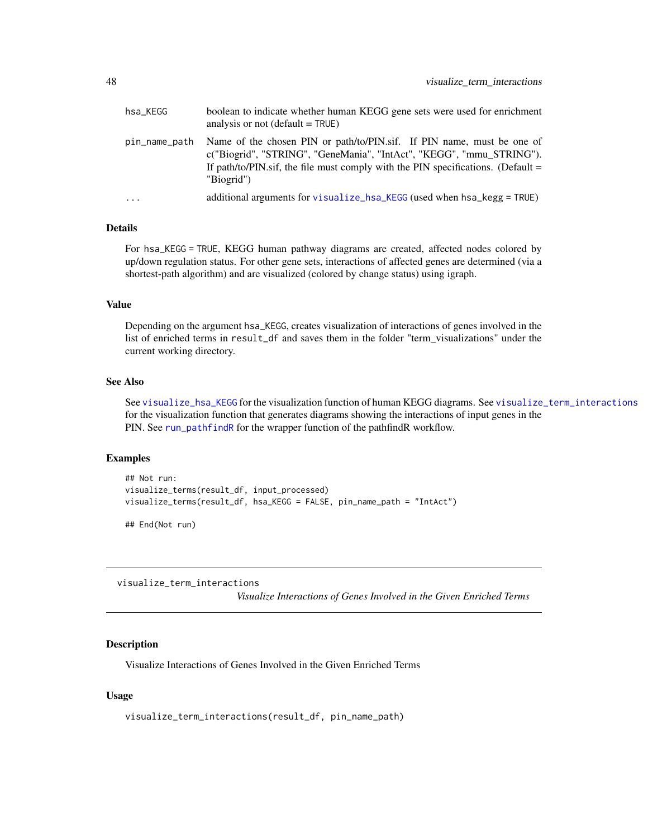<span id="page-47-0"></span>

| hsa KEGG      | boolean to indicate whether human KEGG gene sets were used for enrichment<br>analysis or not $(\text{default} = \text{TRUE})$                                                                                                                      |
|---------------|----------------------------------------------------------------------------------------------------------------------------------------------------------------------------------------------------------------------------------------------------|
| pin_name_path | Name of the chosen PIN or path/to/PIN.sif. If PIN name, must be one of<br>c("Biogrid", "STRING", "GeneMania", "IntAct", "KEGG", "mmu_STRING").<br>If path/to/PIN.sif, the file must comply with the PIN specifications. (Default $=$<br>"Biogrid") |
| $\cdot$       | additional arguments for visualize hsa KEGG (used when hsa kegg = TRUE)                                                                                                                                                                            |

#### Details

For hsa\_KEGG = TRUE, KEGG human pathway diagrams are created, affected nodes colored by up/down regulation status. For other gene sets, interactions of affected genes are determined (via a shortest-path algorithm) and are visualized (colored by change status) using igraph.

# Value

Depending on the argument hsa\_KEGG, creates visualization of interactions of genes involved in the list of enriched terms in result\_df and saves them in the folder "term\_visualizations" under the current working directory.

#### See Also

See [visualize\\_hsa\\_KEGG](#page-45-1) for the visualization function of human KEGG diagrams. See [visualize\\_term\\_interactions](#page-47-1) for the visualization function that generates diagrams showing the interactions of input genes in the PIN. See [run\\_pathfindR](#page-32-1) for the wrapper function of the pathfindR workflow.

#### Examples

```
## Not run:
visualize_terms(result_df, input_processed)
visualize_terms(result_df, hsa_KEGG = FALSE, pin_name_path = "IntAct")
```
## End(Not run)

<span id="page-47-1"></span>visualize\_term\_interactions

*Visualize Interactions of Genes Involved in the Given Enriched Terms*

#### Description

Visualize Interactions of Genes Involved in the Given Enriched Terms

# Usage

```
visualize_term_interactions(result_df, pin_name_path)
```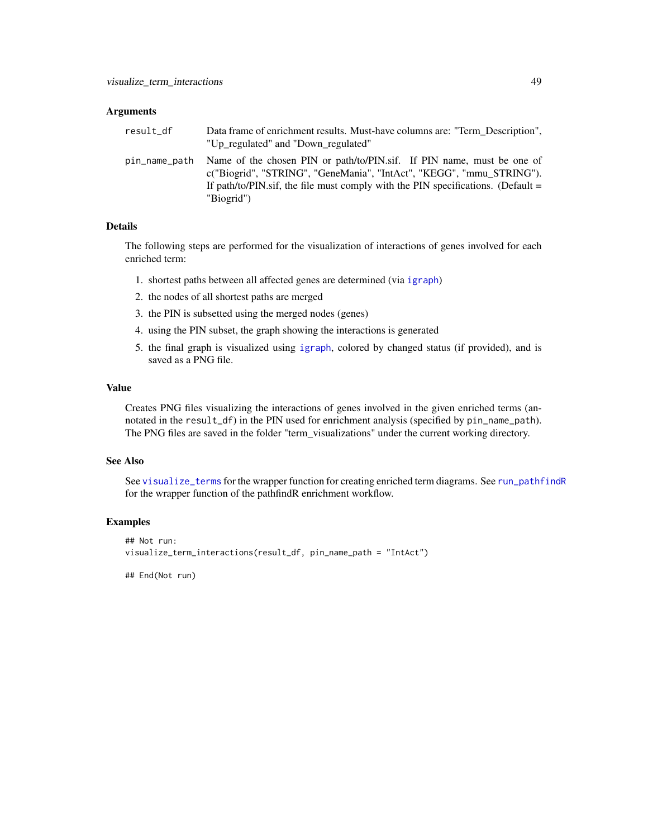#### <span id="page-48-0"></span>**Arguments**

| result df     | Data frame of enrichment results. Must-have columns are: "Term Description",<br>"Up regulated" and "Down regulated"                                                                                                                                |
|---------------|----------------------------------------------------------------------------------------------------------------------------------------------------------------------------------------------------------------------------------------------------|
| pin_name_path | Name of the chosen PIN or path/to/PIN.sif. If PIN name, must be one of<br>c("Biogrid", "STRING", "GeneMania", "IntAct", "KEGG", "mmu STRING").<br>If path/to/PIN.sif, the file must comply with the PIN specifications. (Default $=$<br>"Biogrid") |

# Details

The following steps are performed for the visualization of interactions of genes involved for each enriched term:

- 1. shortest paths between all affected genes are determined (via [igraph](#page-0-0))
- 2. the nodes of all shortest paths are merged
- 3. the PIN is subsetted using the merged nodes (genes)
- 4. using the PIN subset, the graph showing the interactions is generated
- 5. the final graph is visualized using [igraph](#page-0-0), colored by changed status (if provided), and is saved as a PNG file.

#### Value

Creates PNG files visualizing the interactions of genes involved in the given enriched terms (annotated in the result\_df) in the PIN used for enrichment analysis (specified by pin\_name\_path). The PNG files are saved in the folder "term\_visualizations" under the current working directory.

# See Also

See [visualize\\_terms](#page-46-1) for the wrapper function for creating enriched term diagrams. See [run\\_pathfindR](#page-32-1) for the wrapper function of the pathfindR enrichment workflow.

#### Examples

```
## Not run:
visualize_term_interactions(result_df, pin_name_path = "IntAct")
```
## End(Not run)